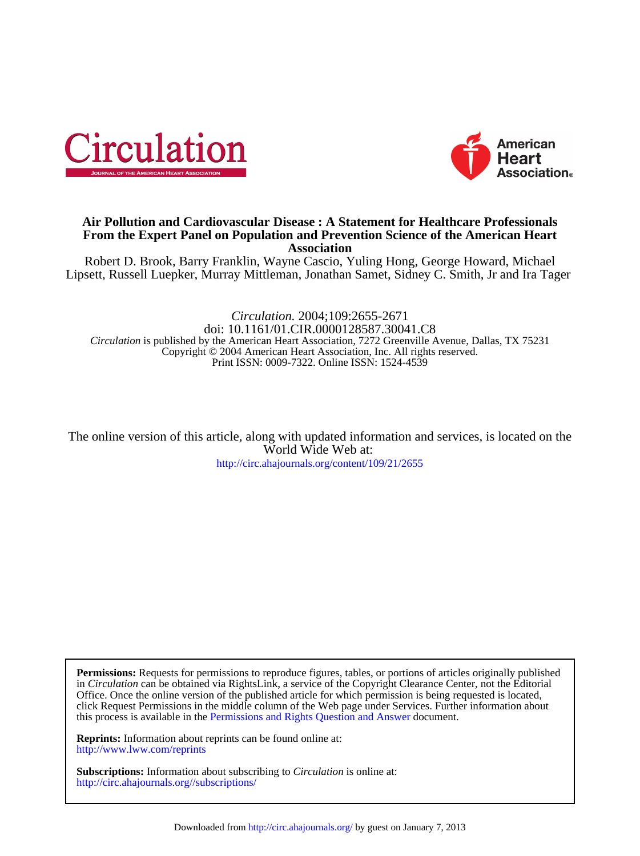



## **Association From the Expert Panel on Population and Prevention Science of the American Heart Air Pollution and Cardiovascular Disease : A Statement for Healthcare Professionals**

Lipsett, Russell Luepker, Murray Mittleman, Jonathan Samet, Sidney C. Smith, Jr and Ira Tager Robert D. Brook, Barry Franklin, Wayne Cascio, Yuling Hong, George Howard, Michael

## Print ISSN: 0009-7322. Online ISSN: 1524-4539 Copyright © 2004 American Heart Association, Inc. All rights reserved. *Circulation* is published by the American Heart Association, 7272 Greenville Avenue, Dallas, TX 75231 doi: 10.1161/01.CIR.0000128587.30041.C8 *Circulation.* 2004;109:2655-2671

<http://circ.ahajournals.org/content/109/21/2655> World Wide Web at: The online version of this article, along with updated information and services, is located on the

this process is available in the [Permissions and Rights Question and Answer d](http://www.ahajournals.org/site/rights/)ocument. click Request Permissions in the middle column of the Web page under Services. Further information about Office. Once the online version of the published article for which permission is being requested is located, in *Circulation* can be obtained via RightsLink, a service of the Copyright Clearance Center, not the Editorial **Permissions:** Requests for permissions to reproduce figures, tables, or portions of articles originally published

<http://www.lww.com/reprints> **Reprints:** Information about reprints can be found online at:

<http://circ.ahajournals.org//subscriptions/> **Subscriptions:** Information about subscribing to *Circulation* is online at: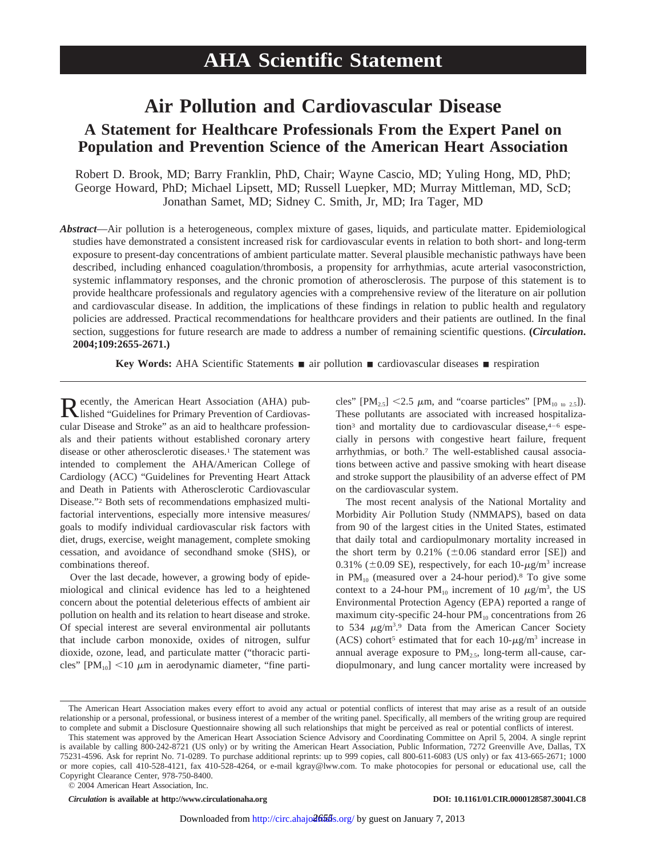# **Air Pollution and Cardiovascular Disease**

## **A Statement for Healthcare Professionals From the Expert Panel on Population and Prevention Science of the American Heart Association**

Robert D. Brook, MD; Barry Franklin, PhD, Chair; Wayne Cascio, MD; Yuling Hong, MD, PhD; George Howard, PhD; Michael Lipsett, MD; Russell Luepker, MD; Murray Mittleman, MD, ScD; Jonathan Samet, MD; Sidney C. Smith, Jr, MD; Ira Tager, MD

*Abstract*—Air pollution is a heterogeneous, complex mixture of gases, liquids, and particulate matter. Epidemiological studies have demonstrated a consistent increased risk for cardiovascular events in relation to both short- and long-term exposure to present-day concentrations of ambient particulate matter. Several plausible mechanistic pathways have been described, including enhanced coagulation/thrombosis, a propensity for arrhythmias, acute arterial vasoconstriction, systemic inflammatory responses, and the chronic promotion of atherosclerosis. The purpose of this statement is to provide healthcare professionals and regulatory agencies with a comprehensive review of the literature on air pollution and cardiovascular disease. In addition, the implications of these findings in relation to public health and regulatory policies are addressed. Practical recommendations for healthcare providers and their patients are outlined. In the final section, suggestions for future research are made to address a number of remaining scientific questions. **(***Circulation***. 2004;109:2655-2671.)**

**Key Words:** AHA Scientific Statements **a** air pollution **a** cardiovascular diseases **a** respiration

Recently, the American Heart Association (AHA) pub-<br>lished "Guidelines for Primary Prevention of Cardiovascular Disease and Stroke" as an aid to healthcare professionals and their patients without established coronary artery disease or other atherosclerotic diseases.<sup>1</sup> The statement was intended to complement the AHA/American College of Cardiology (ACC) "Guidelines for Preventing Heart Attack and Death in Patients with Atherosclerotic Cardiovascular Disease."2 Both sets of recommendations emphasized multifactorial interventions, especially more intensive measures/ goals to modify individual cardiovascular risk factors with diet, drugs, exercise, weight management, complete smoking cessation, and avoidance of secondhand smoke (SHS), or combinations thereof.

Over the last decade, however, a growing body of epidemiological and clinical evidence has led to a heightened concern about the potential deleterious effects of ambient air pollution on health and its relation to heart disease and stroke. Of special interest are several environmental air pollutants that include carbon monoxide, oxides of nitrogen, sulfur dioxide, ozone, lead, and particulate matter ("thoracic particles"  $[PM_{10}]$  <10  $\mu$ m in aerodynamic diameter, "fine particles"  $[PM_{2.5}]$  <2.5  $\mu$ m, and "coarse particles"  $[PM_{10 \text{ to } 2.5}]$ ). These pollutants are associated with increased hospitalization<sup>3</sup> and mortality due to cardiovascular disease,<sup>4-6</sup> especially in persons with congestive heart failure, frequent arrhythmias, or both.7 The well-established causal associations between active and passive smoking with heart disease and stroke support the plausibility of an adverse effect of PM on the cardiovascular system.

The most recent analysis of the National Mortality and Morbidity Air Pollution Study (NMMAPS), based on data from 90 of the largest cities in the United States, estimated that daily total and cardiopulmonary mortality increased in the short term by  $0.21\%$  ( $\pm 0.06$  standard error [SE]) and 0.31% ( $\pm$ 0.09 SE), respectively, for each 10- $\mu$ g/m<sup>3</sup> increase in  $PM_{10}$  (measured over a 24-hour period).<sup>8</sup> To give some context to a 24-hour  $PM_{10}$  increment of 10  $\mu$ g/m<sup>3</sup>, the US Environmental Protection Agency (EPA) reported a range of maximum city-specific 24-hour  $PM_{10}$  concentrations from 26 to 534  $\mu$ g/m<sup>3</sup>.<sup>9</sup> Data from the American Cancer Society (ACS) cohort<sup>5</sup> estimated that for each  $10-\mu g/m^3$  increase in annual average exposure to  $PM<sub>2.5</sub>$ , long-term all-cause, cardiopulmonary, and lung cancer mortality were increased by

*Circulation* is available at http://www.circulationaha.org DOI: 10.1161/01.CIR.0000128587.30041.C8

The American Heart Association makes every effort to avoid any actual or potential conflicts of interest that may arise as a result of an outside relationship or a personal, professional, or business interest of a member of the writing panel. Specifically, all members of the writing group are required to complete and submit a Disclosure Questionnaire showing all such relationships that might be perceived as real or potential conflicts of interest.

This statement was approved by the American Heart Association Science Advisory and Coordinating Committee on April 5, 2004. A single reprint is available by calling 800-242-8721 (US only) or by writing the American Heart Association, Public Information, 7272 Greenville Ave, Dallas, TX 75231-4596. Ask for reprint No. 71-0289. To purchase additional reprints: up to 999 copies, call 800-611-6083 (US only) or fax 413-665-2671; 1000 or more copies, call 410-528-4121, fax 410-528-4264, or e-mail kgray@lww.com. To make photocopies for personal or educational use, call the Copyright Clearance Center, 978-750-8400.

<sup>© 2004</sup> American Heart Association, Inc.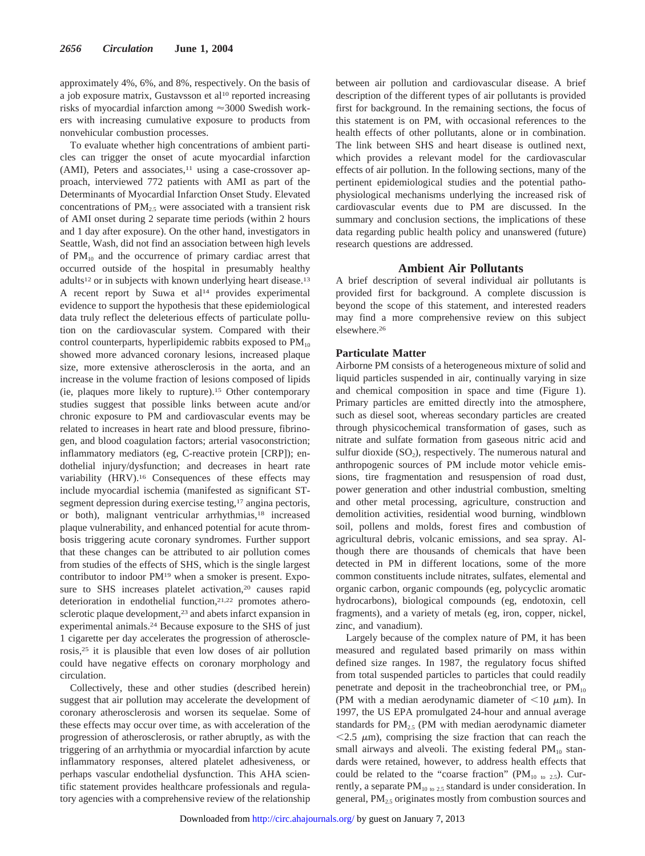approximately 4%, 6%, and 8%, respectively. On the basis of a job exposure matrix, Gustavsson et al<sup>10</sup> reported increasing risks of myocardial infarction among  $\approx$  3000 Swedish workers with increasing cumulative exposure to products from nonvehicular combustion processes.

To evaluate whether high concentrations of ambient particles can trigger the onset of acute myocardial infarction  $(AMI)$ , Peters and associates, $11$  using a case-crossover approach, interviewed 772 patients with AMI as part of the Determinants of Myocardial Infarction Onset Study. Elevated concentrations of  $PM<sub>2.5</sub>$  were associated with a transient risk of AMI onset during 2 separate time periods (within 2 hours and 1 day after exposure). On the other hand, investigators in Seattle, Wash, did not find an association between high levels of PM10 and the occurrence of primary cardiac arrest that occurred outside of the hospital in presumably healthy adults<sup>12</sup> or in subjects with known underlying heart disease.<sup>13</sup> A recent report by Suwa et al<sup>14</sup> provides experimental evidence to support the hypothesis that these epidemiological data truly reflect the deleterious effects of particulate pollution on the cardiovascular system. Compared with their control counterparts, hyperlipidemic rabbits exposed to  $PM_{10}$ showed more advanced coronary lesions, increased plaque size, more extensive atherosclerosis in the aorta, and an increase in the volume fraction of lesions composed of lipids (ie, plaques more likely to rupture).15 Other contemporary studies suggest that possible links between acute and/or chronic exposure to PM and cardiovascular events may be related to increases in heart rate and blood pressure, fibrinogen, and blood coagulation factors; arterial vasoconstriction; inflammatory mediators (eg, C-reactive protein [CRP]); endothelial injury/dysfunction; and decreases in heart rate variability (HRV).<sup>16</sup> Consequences of these effects may include myocardial ischemia (manifested as significant STsegment depression during exercise testing,<sup>17</sup> angina pectoris, or both), malignant ventricular arrhythmias,18 increased plaque vulnerability, and enhanced potential for acute thrombosis triggering acute coronary syndromes. Further support that these changes can be attributed to air pollution comes from studies of the effects of SHS, which is the single largest contributor to indoor PM19 when a smoker is present. Exposure to SHS increases platelet activation,<sup>20</sup> causes rapid deterioration in endothelial function,<sup>21,22</sup> promotes atherosclerotic plaque development,<sup>23</sup> and abets infarct expansion in experimental animals.24 Because exposure to the SHS of just 1 cigarette per day accelerates the progression of atherosclerosis,25 it is plausible that even low doses of air pollution could have negative effects on coronary morphology and circulation.

Collectively, these and other studies (described herein) suggest that air pollution may accelerate the development of coronary atherosclerosis and worsen its sequelae. Some of these effects may occur over time, as with acceleration of the progression of atherosclerosis, or rather abruptly, as with the triggering of an arrhythmia or myocardial infarction by acute inflammatory responses, altered platelet adhesiveness, or perhaps vascular endothelial dysfunction. This AHA scientific statement provides healthcare professionals and regulatory agencies with a comprehensive review of the relationship between air pollution and cardiovascular disease. A brief description of the different types of air pollutants is provided first for background. In the remaining sections, the focus of this statement is on PM, with occasional references to the health effects of other pollutants, alone or in combination. The link between SHS and heart disease is outlined next, which provides a relevant model for the cardiovascular effects of air pollution. In the following sections, many of the pertinent epidemiological studies and the potential pathophysiological mechanisms underlying the increased risk of cardiovascular events due to PM are discussed. In the summary and conclusion sections, the implications of these data regarding public health policy and unanswered (future) research questions are addressed.

#### **Ambient Air Pollutants**

A brief description of several individual air pollutants is provided first for background. A complete discussion is beyond the scope of this statement, and interested readers may find a more comprehensive review on this subject elsewhere.26

#### **Particulate Matter**

Airborne PM consists of a heterogeneous mixture of solid and liquid particles suspended in air, continually varying in size and chemical composition in space and time (Figure 1). Primary particles are emitted directly into the atmosphere, such as diesel soot, whereas secondary particles are created through physicochemical transformation of gases, such as nitrate and sulfate formation from gaseous nitric acid and sulfur dioxide  $(SO<sub>2</sub>)$ , respectively. The numerous natural and anthropogenic sources of PM include motor vehicle emissions, tire fragmentation and resuspension of road dust, power generation and other industrial combustion, smelting and other metal processing, agriculture, construction and demolition activities, residential wood burning, windblown soil, pollens and molds, forest fires and combustion of agricultural debris, volcanic emissions, and sea spray. Although there are thousands of chemicals that have been detected in PM in different locations, some of the more common constituents include nitrates, sulfates, elemental and organic carbon, organic compounds (eg, polycyclic aromatic hydrocarbons), biological compounds (eg, endotoxin, cell fragments), and a variety of metals (eg, iron, copper, nickel, zinc, and vanadium).

Largely because of the complex nature of PM, it has been measured and regulated based primarily on mass within defined size ranges. In 1987, the regulatory focus shifted from total suspended particles to particles that could readily penetrate and deposit in the tracheobronchial tree, or  $PM_{10}$ (PM with a median aerodynamic diameter of  $\lt 10 \mu$ m). In 1997, the US EPA promulgated 24-hour and annual average standards for  $PM_{2.5}$  (PM with median aerodynamic diameter  $\langle 2.5 \mu m \rangle$ , comprising the size fraction that can reach the small airways and alveoli. The existing federal  $PM_{10}$  standards were retained, however, to address health effects that could be related to the "coarse fraction" ( $PM_{10}$  to 2.5). Currently, a separate PM<sub>10 to 2.5</sub> standard is under consideration. In general,  $PM_2$ , originates mostly from combustion sources and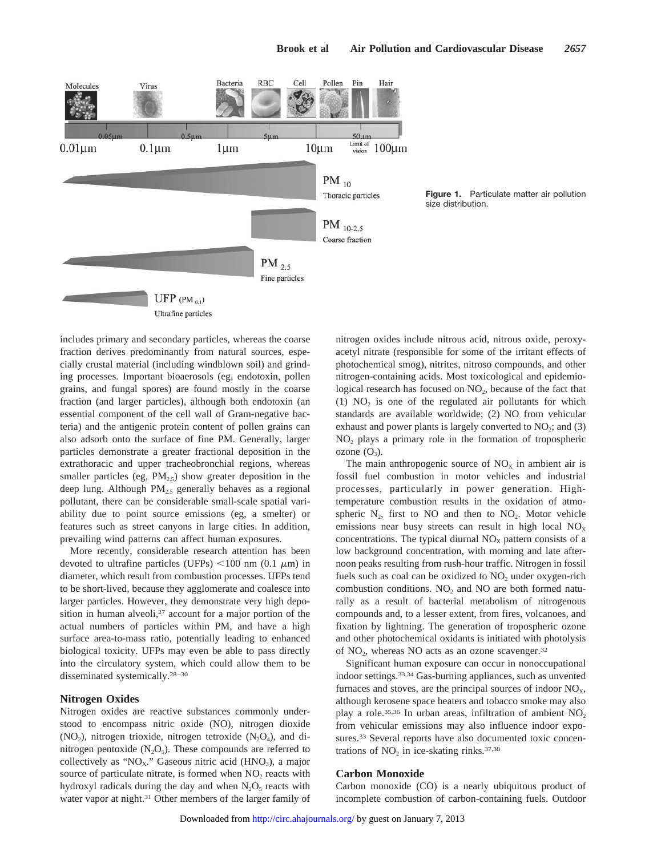

includes primary and secondary particles, whereas the coarse fraction derives predominantly from natural sources, especially crustal material (including windblown soil) and grinding processes. Important bioaerosols (eg, endotoxin, pollen grains, and fungal spores) are found mostly in the coarse fraction (and larger particles), although both endotoxin (an essential component of the cell wall of Gram-negative bacteria) and the antigenic protein content of pollen grains can also adsorb onto the surface of fine PM. Generally, larger particles demonstrate a greater fractional deposition in the extrathoracic and upper tracheobronchial regions, whereas smaller particles (eg,  $PM_{2.5}$ ) show greater deposition in the deep lung. Although  $PM_{2.5}$  generally behaves as a regional pollutant, there can be considerable small-scale spatial variability due to point source emissions (eg, a smelter) or features such as street canyons in large cities. In addition, prevailing wind patterns can affect human exposures.

More recently, considerable research attention has been devoted to ultrafine particles (UFPs)  $\langle$ 100 nm (0.1  $\mu$ m) in diameter, which result from combustion processes. UFPs tend to be short-lived, because they agglomerate and coalesce into larger particles. However, they demonstrate very high deposition in human alveoli,<sup>27</sup> account for a major portion of the actual numbers of particles within PM, and have a high surface area-to-mass ratio, potentially leading to enhanced biological toxicity. UFPs may even be able to pass directly into the circulatory system, which could allow them to be disseminated systemically.28–30

#### **Nitrogen Oxides**

Nitrogen oxides are reactive substances commonly understood to encompass nitric oxide (NO), nitrogen dioxide  $(NO<sub>2</sub>)$ , nitrogen trioxide, nitrogen tetroxide  $(N<sub>2</sub>O<sub>4</sub>)$ , and dinitrogen pentoxide  $(N_2O_5)$ . These compounds are referred to collectively as " $NO<sub>x</sub>$ ." Gaseous nitric acid (HNO<sub>3</sub>), a major source of particulate nitrate, is formed when  $NO<sub>2</sub>$  reacts with hydroxyl radicals during the day and when  $N_2O_5$  reacts with water vapor at night.<sup>31</sup> Other members of the larger family of nitrogen oxides include nitrous acid, nitrous oxide, peroxyacetyl nitrate (responsible for some of the irritant effects of photochemical smog), nitrites, nitroso compounds, and other nitrogen-containing acids. Most toxicological and epidemiological research has focused on NO<sub>2</sub>, because of the fact that (1)  $NO<sub>2</sub>$  is one of the regulated air pollutants for which standards are available worldwide; (2) NO from vehicular exhaust and power plants is largely converted to  $NO<sub>2</sub>$ ; and (3) NO2 plays a primary role in the formation of tropospheric ozone  $(O_3)$ .

size distribution.

**Figure 1.** Particulate matter air pollution

The main anthropogenic source of  $NO<sub>x</sub>$  in ambient air is fossil fuel combustion in motor vehicles and industrial processes, particularly in power generation. Hightemperature combustion results in the oxidation of atmospheric  $N_2$ , first to NO and then to  $NO_2$ . Motor vehicle emissions near busy streets can result in high local  $NO<sub>x</sub>$ concentrations. The typical diurnal  $NO<sub>x</sub>$  pattern consists of a low background concentration, with morning and late afternoon peaks resulting from rush-hour traffic. Nitrogen in fossil fuels such as coal can be oxidized to  $NO<sub>2</sub>$  under oxygen-rich combustion conditions.  $NO<sub>2</sub>$  and NO are both formed naturally as a result of bacterial metabolism of nitrogenous compounds and, to a lesser extent, from fires, volcanoes, and fixation by lightning. The generation of tropospheric ozone and other photochemical oxidants is initiated with photolysis of  $NO<sub>2</sub>$ , whereas NO acts as an ozone scavenger.<sup>32</sup>

Significant human exposure can occur in nonoccupational indoor settings.<sup>33,34</sup> Gas-burning appliances, such as unvented furnaces and stoves, are the principal sources of indoor  $NO<sub>x</sub>$ , although kerosene space heaters and tobacco smoke may also play a role.<sup>35,36</sup> In urban areas, infiltration of ambient  $NO<sub>2</sub>$ from vehicular emissions may also influence indoor exposures.<sup>33</sup> Several reports have also documented toxic concentrations of  $NO<sub>2</sub>$  in ice-skating rinks.<sup>37,38</sup>

#### **Carbon Monoxide**

Carbon monoxide (CO) is a nearly ubiquitous product of incomplete combustion of carbon-containing fuels. Outdoor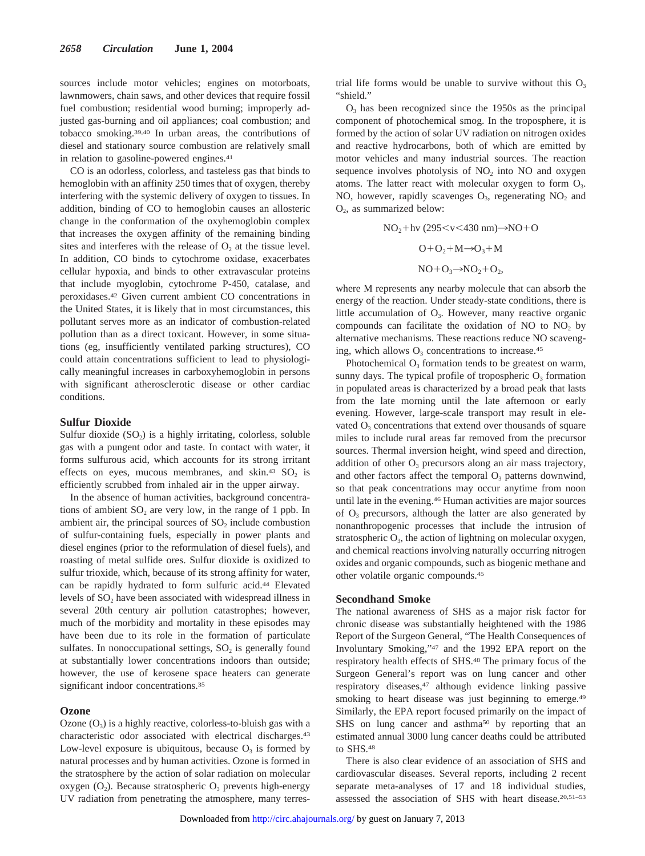sources include motor vehicles; engines on motorboats, lawnmowers, chain saws, and other devices that require fossil fuel combustion; residential wood burning; improperly adjusted gas-burning and oil appliances; coal combustion; and tobacco smoking.39,40 In urban areas, the contributions of diesel and stationary source combustion are relatively small in relation to gasoline-powered engines.<sup>41</sup>

CO is an odorless, colorless, and tasteless gas that binds to hemoglobin with an affinity 250 times that of oxygen, thereby interfering with the systemic delivery of oxygen to tissues. In addition, binding of CO to hemoglobin causes an allosteric change in the conformation of the oxyhemoglobin complex that increases the oxygen affinity of the remaining binding sites and interferes with the release of  $O<sub>2</sub>$  at the tissue level. In addition, CO binds to cytochrome oxidase, exacerbates cellular hypoxia, and binds to other extravascular proteins that include myoglobin, cytochrome P-450, catalase, and peroxidases.42 Given current ambient CO concentrations in the United States, it is likely that in most circumstances, this pollutant serves more as an indicator of combustion-related pollution than as a direct toxicant. However, in some situations (eg, insufficiently ventilated parking structures), CO could attain concentrations sufficient to lead to physiologically meaningful increases in carboxyhemoglobin in persons with significant atherosclerotic disease or other cardiac conditions.

### **Sulfur Dioxide**

Sulfur dioxide  $(SO<sub>2</sub>)$  is a highly irritating, colorless, soluble gas with a pungent odor and taste. In contact with water, it forms sulfurous acid, which accounts for its strong irritant effects on eyes, mucous membranes, and skin.<sup>43</sup>  $SO<sub>2</sub>$  is efficiently scrubbed from inhaled air in the upper airway.

In the absence of human activities, background concentrations of ambient  $SO_2$  are very low, in the range of 1 ppb. In ambient air, the principal sources of  $SO<sub>2</sub>$  include combustion of sulfur-containing fuels, especially in power plants and diesel engines (prior to the reformulation of diesel fuels), and roasting of metal sulfide ores. Sulfur dioxide is oxidized to sulfur trioxide, which, because of its strong affinity for water, can be rapidly hydrated to form sulfuric acid.44 Elevated levels of  $SO<sub>2</sub>$  have been associated with widespread illness in several 20th century air pollution catastrophes; however, much of the morbidity and mortality in these episodes may have been due to its role in the formation of particulate sulfates. In nonoccupational settings,  $SO<sub>2</sub>$  is generally found at substantially lower concentrations indoors than outside; however, the use of kerosene space heaters can generate significant indoor concentrations.<sup>35</sup>

#### **Ozone**

Ozone  $(O_3)$  is a highly reactive, colorless-to-bluish gas with a characteristic odor associated with electrical discharges.43 Low-level exposure is ubiquitous, because  $O_3$  is formed by natural processes and by human activities. Ozone is formed in the stratosphere by the action of solar radiation on molecular oxygen  $(O_2)$ . Because stratospheric  $O_3$  prevents high-energy UV radiation from penetrating the atmosphere, many terrestrial life forms would be unable to survive without this  $O_3$ "shield."

 $O<sub>3</sub>$  has been recognized since the 1950s as the principal component of photochemical smog. In the troposphere, it is formed by the action of solar UV radiation on nitrogen oxides and reactive hydrocarbons, both of which are emitted by motor vehicles and many industrial sources. The reaction sequence involves photolysis of  $NO<sub>2</sub>$  into  $NO<sub>2</sub>$  and oxygen atoms. The latter react with molecular oxygen to form  $O_3$ . NO, however, rapidly scavenges  $O_3$ , regenerating  $NO_2$  and  $O<sub>2</sub>$ , as summarized below:

NO<sub>2</sub>+hv (295< v<430 nm) \rightarrow NO+O  
 
$$
O+O_2+M \rightarrow O_3+M
$$
 
$$
NO+O_3 \rightarrow NO_2+O_2,
$$

where M represents any nearby molecule that can absorb the energy of the reaction. Under steady-state conditions, there is little accumulation of  $O_3$ . However, many reactive organic compounds can facilitate the oxidation of NO to  $NO<sub>2</sub>$  by alternative mechanisms. These reactions reduce NO scavenging, which allows  $O_3$  concentrations to increase.<sup>45</sup>

Photochemical  $O_3$  formation tends to be greatest on warm, sunny days. The typical profile of tropospheric  $O<sub>3</sub>$  formation in populated areas is characterized by a broad peak that lasts from the late morning until the late afternoon or early evening. However, large-scale transport may result in elevated  $O_3$  concentrations that extend over thousands of square miles to include rural areas far removed from the precursor sources. Thermal inversion height, wind speed and direction, addition of other  $O_3$  precursors along an air mass trajectory, and other factors affect the temporal  $O<sub>3</sub>$  patterns downwind, so that peak concentrations may occur anytime from noon until late in the evening.46 Human activities are major sources of O3 precursors, although the latter are also generated by nonanthropogenic processes that include the intrusion of stratospheric  $O_3$ , the action of lightning on molecular oxygen, and chemical reactions involving naturally occurring nitrogen oxides and organic compounds, such as biogenic methane and other volatile organic compounds.45

#### **Secondhand Smoke**

The national awareness of SHS as a major risk factor for chronic disease was substantially heightened with the 1986 Report of the Surgeon General, "The Health Consequences of Involuntary Smoking,"47 and the 1992 EPA report on the respiratory health effects of SHS.48 The primary focus of the Surgeon General's report was on lung cancer and other respiratory diseases,<sup>47</sup> although evidence linking passive smoking to heart disease was just beginning to emerge.<sup>49</sup> Similarly, the EPA report focused primarily on the impact of SHS on lung cancer and asthma<sup>50</sup> by reporting that an estimated annual 3000 lung cancer deaths could be attributed to SHS.48

There is also clear evidence of an association of SHS and cardiovascular diseases. Several reports, including 2 recent separate meta-analyses of 17 and 18 individual studies, assessed the association of SHS with heart disease.20,51–53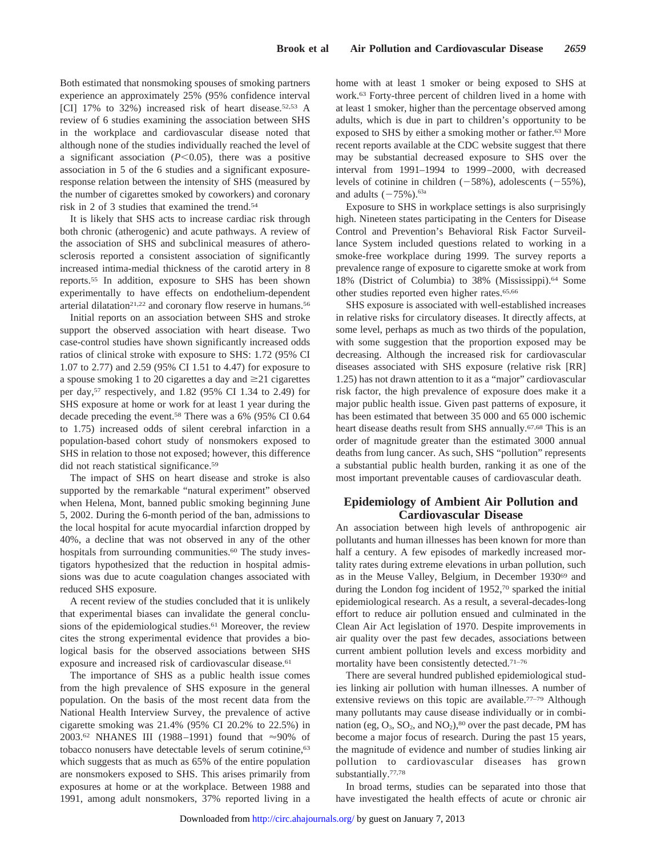Both estimated that nonsmoking spouses of smoking partners experience an approximately 25% (95% confidence interval [CI] 17% to 32%) increased risk of heart disease.52,53 A review of 6 studies examining the association between SHS in the workplace and cardiovascular disease noted that although none of the studies individually reached the level of a significant association  $(P<0.05)$ , there was a positive association in 5 of the 6 studies and a significant exposureresponse relation between the intensity of SHS (measured by the number of cigarettes smoked by coworkers) and coronary risk in 2 of 3 studies that examined the trend.54

It is likely that SHS acts to increase cardiac risk through both chronic (atherogenic) and acute pathways. A review of the association of SHS and subclinical measures of atherosclerosis reported a consistent association of significantly increased intima-medial thickness of the carotid artery in 8 reports.55 In addition, exposure to SHS has been shown experimentally to have effects on endothelium-dependent arterial dilatation<sup>21,22</sup> and coronary flow reserve in humans.<sup>56</sup>

Initial reports on an association between SHS and stroke support the observed association with heart disease. Two case-control studies have shown significantly increased odds ratios of clinical stroke with exposure to SHS: 1.72 (95% CI 1.07 to 2.77) and 2.59 (95% CI 1.51 to 4.47) for exposure to a spouse smoking 1 to 20 cigarettes a day and  $\geq$  21 cigarettes per day,57 respectively, and 1.82 (95% CI 1.34 to 2.49) for SHS exposure at home or work for at least 1 year during the decade preceding the event.<sup>58</sup> There was a 6% (95% CI 0.64 to 1.75) increased odds of silent cerebral infarction in a population-based cohort study of nonsmokers exposed to SHS in relation to those not exposed; however, this difference did not reach statistical significance.<sup>59</sup>

The impact of SHS on heart disease and stroke is also supported by the remarkable "natural experiment" observed when Helena, Mont, banned public smoking beginning June 5, 2002. During the 6-month period of the ban, admissions to the local hospital for acute myocardial infarction dropped by 40%, a decline that was not observed in any of the other hospitals from surrounding communities.<sup>60</sup> The study investigators hypothesized that the reduction in hospital admissions was due to acute coagulation changes associated with reduced SHS exposure.

A recent review of the studies concluded that it is unlikely that experimental biases can invalidate the general conclusions of the epidemiological studies.<sup>61</sup> Moreover, the review cites the strong experimental evidence that provides a biological basis for the observed associations between SHS exposure and increased risk of cardiovascular disease.<sup>61</sup>

The importance of SHS as a public health issue comes from the high prevalence of SHS exposure in the general population. On the basis of the most recent data from the National Health Interview Survey, the prevalence of active cigarette smoking was 21.4% (95% CI 20.2% to 22.5%) in 2003.<sup>62</sup> NHANES III (1988–1991) found that  $\approx$ 90% of tobacco nonusers have detectable levels of serum cotinine,<sup>63</sup> which suggests that as much as 65% of the entire population are nonsmokers exposed to SHS. This arises primarily from exposures at home or at the workplace. Between 1988 and 1991, among adult nonsmokers, 37% reported living in a home with at least 1 smoker or being exposed to SHS at work.63 Forty-three percent of children lived in a home with at least 1 smoker, higher than the percentage observed among adults, which is due in part to children's opportunity to be exposed to SHS by either a smoking mother or father.<sup>63</sup> More recent reports available at the CDC website suggest that there may be substantial decreased exposure to SHS over the interval from 1991–1994 to 1999–2000, with decreased levels of cotinine in children  $(-58\%)$ , adolescents  $(-55\%)$ , and adults  $(-75%)$ .<sup>63a</sup>

Exposure to SHS in workplace settings is also surprisingly high. Nineteen states participating in the Centers for Disease Control and Prevention's Behavioral Risk Factor Surveillance System included questions related to working in a smoke-free workplace during 1999. The survey reports a prevalence range of exposure to cigarette smoke at work from 18% (District of Columbia) to 38% (Mississippi).64 Some other studies reported even higher rates.65,66

SHS exposure is associated with well-established increases in relative risks for circulatory diseases. It directly affects, at some level, perhaps as much as two thirds of the population, with some suggestion that the proportion exposed may be decreasing. Although the increased risk for cardiovascular diseases associated with SHS exposure (relative risk [RR] 1.25) has not drawn attention to it as a "major" cardiovascular risk factor, the high prevalence of exposure does make it a major public health issue. Given past patterns of exposure, it has been estimated that between 35 000 and 65 000 ischemic heart disease deaths result from SHS annually.<sup>67,68</sup> This is an order of magnitude greater than the estimated 3000 annual deaths from lung cancer. As such, SHS "pollution" represents a substantial public health burden, ranking it as one of the most important preventable causes of cardiovascular death.

## **Epidemiology of Ambient Air Pollution and Cardiovascular Disease**

An association between high levels of anthropogenic air pollutants and human illnesses has been known for more than half a century. A few episodes of markedly increased mortality rates during extreme elevations in urban pollution, such as in the Meuse Valley, Belgium, in December 1930<sup>69</sup> and during the London fog incident of 1952,70 sparked the initial epidemiological research. As a result, a several-decades-long effort to reduce air pollution ensued and culminated in the Clean Air Act legislation of 1970. Despite improvements in air quality over the past few decades, associations between current ambient pollution levels and excess morbidity and mortality have been consistently detected.71–76

There are several hundred published epidemiological studies linking air pollution with human illnesses. A number of extensive reviews on this topic are available.<sup>77-79</sup> Although many pollutants may cause disease individually or in combination (eg,  $O_3$ ,  $SO_2$ , and  $NO_2$ ),<sup>80</sup> over the past decade, PM has become a major focus of research. During the past 15 years, the magnitude of evidence and number of studies linking air pollution to cardiovascular diseases has grown substantially.77,78

In broad terms, studies can be separated into those that have investigated the health effects of acute or chronic air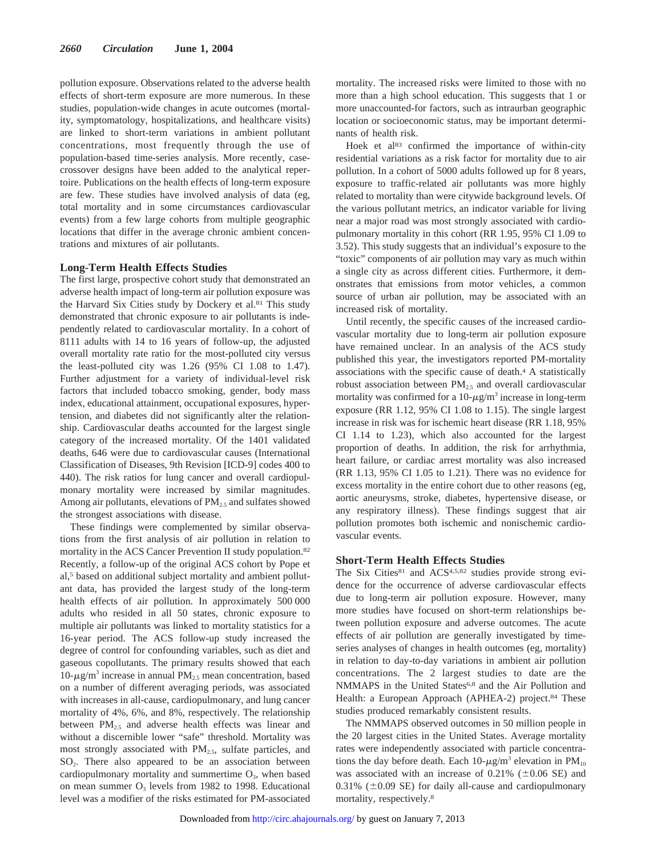pollution exposure. Observations related to the adverse health effects of short-term exposure are more numerous. In these studies, population-wide changes in acute outcomes (mortality, symptomatology, hospitalizations, and healthcare visits) are linked to short-term variations in ambient pollutant concentrations, most frequently through the use of population-based time-series analysis. More recently, casecrossover designs have been added to the analytical repertoire. Publications on the health effects of long-term exposure are few. These studies have involved analysis of data (eg, total mortality and in some circumstances cardiovascular events) from a few large cohorts from multiple geographic locations that differ in the average chronic ambient concentrations and mixtures of air pollutants.

## **Long-Term Health Effects Studies**

The first large, prospective cohort study that demonstrated an adverse health impact of long-term air pollution exposure was the Harvard Six Cities study by Dockery et al.<sup>81</sup> This study demonstrated that chronic exposure to air pollutants is independently related to cardiovascular mortality. In a cohort of 8111 adults with 14 to 16 years of follow-up, the adjusted overall mortality rate ratio for the most-polluted city versus the least-polluted city was 1.26 (95% CI 1.08 to 1.47). Further adjustment for a variety of individual-level risk factors that included tobacco smoking, gender, body mass index, educational attainment, occupational exposures, hypertension, and diabetes did not significantly alter the relationship. Cardiovascular deaths accounted for the largest single category of the increased mortality. Of the 1401 validated deaths, 646 were due to cardiovascular causes (International Classification of Diseases, 9th Revision [ICD-9] codes 400 to 440). The risk ratios for lung cancer and overall cardiopulmonary mortality were increased by similar magnitudes. Among air pollutants, elevations of  $PM_{2.5}$  and sulfates showed the strongest associations with disease.

These findings were complemented by similar observations from the first analysis of air pollution in relation to mortality in the ACS Cancer Prevention II study population.<sup>82</sup> Recently, a follow-up of the original ACS cohort by Pope et al,<sup>5</sup> based on additional subject mortality and ambient pollutant data, has provided the largest study of the long-term health effects of air pollution. In approximately 500 000 adults who resided in all 50 states, chronic exposure to multiple air pollutants was linked to mortality statistics for a 16-year period. The ACS follow-up study increased the degree of control for confounding variables, such as diet and gaseous copollutants. The primary results showed that each  $10$ - $\mu$ g/m<sup>3</sup> increase in annual PM<sub>2.5</sub> mean concentration, based on a number of different averaging periods, was associated with increases in all-cause, cardiopulmonary, and lung cancer mortality of 4%, 6%, and 8%, respectively. The relationship between  $PM_{2.5}$  and adverse health effects was linear and without a discernible lower "safe" threshold. Mortality was most strongly associated with PM<sub>2.5</sub>, sulfate particles, and  $SO<sub>2</sub>$ . There also appeared to be an association between cardiopulmonary mortality and summertime  $O<sub>3</sub>$ , when based on mean summer  $O_3$  levels from 1982 to 1998. Educational level was a modifier of the risks estimated for PM-associated mortality. The increased risks were limited to those with no more than a high school education. This suggests that 1 or more unaccounted-for factors, such as intraurban geographic location or socioeconomic status, may be important determinants of health risk.

Hoek et al<sup>83</sup> confirmed the importance of within-city residential variations as a risk factor for mortality due to air pollution. In a cohort of 5000 adults followed up for 8 years, exposure to traffic-related air pollutants was more highly related to mortality than were citywide background levels. Of the various pollutant metrics, an indicator variable for living near a major road was most strongly associated with cardiopulmonary mortality in this cohort (RR 1.95, 95% CI 1.09 to 3.52). This study suggests that an individual's exposure to the "toxic" components of air pollution may vary as much within a single city as across different cities. Furthermore, it demonstrates that emissions from motor vehicles, a common source of urban air pollution, may be associated with an increased risk of mortality.

Until recently, the specific causes of the increased cardiovascular mortality due to long-term air pollution exposure have remained unclear. In an analysis of the ACS study published this year, the investigators reported PM-mortality associations with the specific cause of death.4 A statistically robust association between  $PM<sub>2.5</sub>$  and overall cardiovascular mortality was confirmed for a  $10-\mu g/m^3$  increase in long-term exposure (RR 1.12, 95% CI 1.08 to 1.15). The single largest increase in risk was for ischemic heart disease (RR 1.18, 95% CI 1.14 to 1.23), which also accounted for the largest proportion of deaths. In addition, the risk for arrhythmia, heart failure, or cardiac arrest mortality was also increased (RR 1.13, 95% CI 1.05 to 1.21). There was no evidence for excess mortality in the entire cohort due to other reasons (eg, aortic aneurysms, stroke, diabetes, hypertensive disease, or any respiratory illness). These findings suggest that air pollution promotes both ischemic and nonischemic cardiovascular events.

#### **Short-Term Health Effects Studies**

The Six Cities<sup>81</sup> and ACS<sup>4,5,82</sup> studies provide strong evidence for the occurrence of adverse cardiovascular effects due to long-term air pollution exposure. However, many more studies have focused on short-term relationships between pollution exposure and adverse outcomes. The acute effects of air pollution are generally investigated by timeseries analyses of changes in health outcomes (eg, mortality) in relation to day-to-day variations in ambient air pollution concentrations. The 2 largest studies to date are the NMMAPS in the United States<sup>6,8</sup> and the Air Pollution and Health: a European Approach (APHEA-2) project.<sup>84</sup> These studies produced remarkably consistent results.

The NMMAPS observed outcomes in 50 million people in the 20 largest cities in the United States. Average mortality rates were independently associated with particle concentrations the day before death. Each 10- $\mu$ g/m<sup>3</sup> elevation in PM<sub>10</sub> was associated with an increase of  $0.21\%$  ( $\pm 0.06$  SE) and  $0.31\%$  ( $\pm 0.09$  SE) for daily all-cause and cardiopulmonary mortality, respectively.8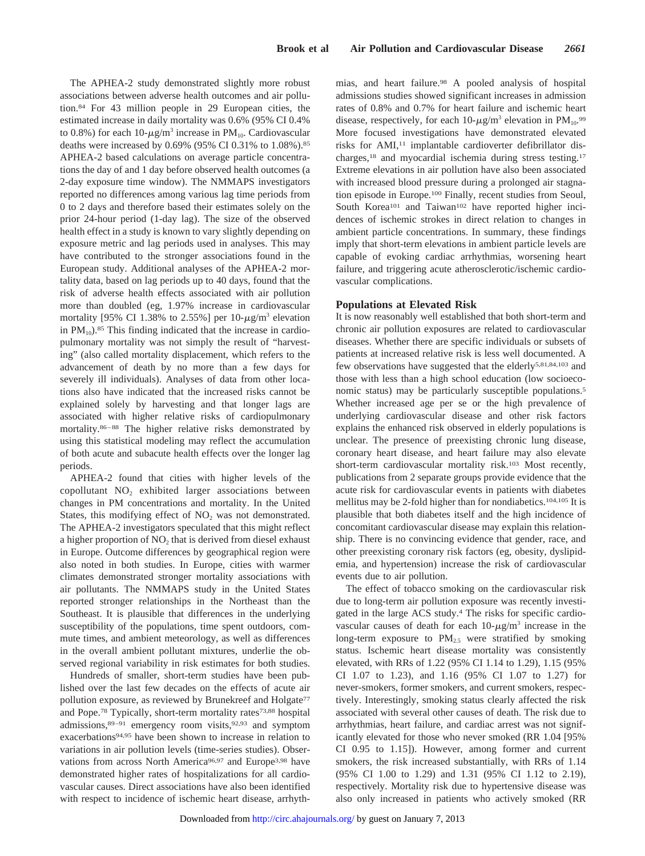The APHEA-2 study demonstrated slightly more robust associations between adverse health outcomes and air pollution.84 For 43 million people in 29 European cities, the estimated increase in daily mortality was 0.6% (95% CI 0.4% to 0.8%) for each 10- $\mu$ g/m<sup>3</sup> increase in PM<sub>10</sub>. Cardiovascular deaths were increased by 0.69% (95% CI 0.31% to 1.08%).<sup>85</sup> APHEA-2 based calculations on average particle concentrations the day of and 1 day before observed health outcomes (a 2-day exposure time window). The NMMAPS investigators reported no differences among various lag time periods from 0 to 2 days and therefore based their estimates solely on the prior 24-hour period (1-day lag). The size of the observed health effect in a study is known to vary slightly depending on exposure metric and lag periods used in analyses. This may have contributed to the stronger associations found in the European study. Additional analyses of the APHEA-2 mortality data, based on lag periods up to 40 days, found that the risk of adverse health effects associated with air pollution more than doubled (eg, 1.97% increase in cardiovascular mortality [95% CI 1.38% to 2.55%] per  $10-\mu g/m^3$  elevation in  $PM_{10}$ ).<sup>85</sup> This finding indicated that the increase in cardiopulmonary mortality was not simply the result of "harvesting" (also called mortality displacement, which refers to the advancement of death by no more than a few days for severely ill individuals). Analyses of data from other locations also have indicated that the increased risks cannot be explained solely by harvesting and that longer lags are associated with higher relative risks of cardiopulmonary mortality.86–88 The higher relative risks demonstrated by using this statistical modeling may reflect the accumulation of both acute and subacute health effects over the longer lag periods.

APHEA-2 found that cities with higher levels of the copollutant  $NO<sub>2</sub>$  exhibited larger associations between changes in PM concentrations and mortality. In the United States, this modifying effect of  $NO<sub>2</sub>$  was not demonstrated. The APHEA-2 investigators speculated that this might reflect a higher proportion of  $NO<sub>2</sub>$  that is derived from diesel exhaust in Europe. Outcome differences by geographical region were also noted in both studies. In Europe, cities with warmer climates demonstrated stronger mortality associations with air pollutants. The NMMAPS study in the United States reported stronger relationships in the Northeast than the Southeast. It is plausible that differences in the underlying susceptibility of the populations, time spent outdoors, commute times, and ambient meteorology, as well as differences in the overall ambient pollutant mixtures, underlie the observed regional variability in risk estimates for both studies.

Hundreds of smaller, short-term studies have been published over the last few decades on the effects of acute air pollution exposure, as reviewed by Brunekreef and Holgate<sup>77</sup> and Pope.78 Typically, short-term mortality rates73,88 hospital admissions,89–91 emergency room visits,92,93 and symptom exacerbations94,95 have been shown to increase in relation to variations in air pollution levels (time-series studies). Observations from across North America96,97 and Europe3,98 have demonstrated higher rates of hospitalizations for all cardiovascular causes. Direct associations have also been identified with respect to incidence of ischemic heart disease, arrhyth-

mias, and heart failure.98 A pooled analysis of hospital admissions studies showed significant increases in admission rates of 0.8% and 0.7% for heart failure and ischemic heart disease, respectively, for each  $10$ - $\mu$ g/m<sup>3</sup> elevation in PM<sub>10</sub>.99 More focused investigations have demonstrated elevated risks for AMI,<sup>11</sup> implantable cardioverter defibrillator discharges,18 and myocardial ischemia during stress testing.17 Extreme elevations in air pollution have also been associated with increased blood pressure during a prolonged air stagnation episode in Europe.100 Finally, recent studies from Seoul, South Korea<sup>101</sup> and Taiwan<sup>102</sup> have reported higher incidences of ischemic strokes in direct relation to changes in ambient particle concentrations. In summary, these findings imply that short-term elevations in ambient particle levels are capable of evoking cardiac arrhythmias, worsening heart failure, and triggering acute atherosclerotic/ischemic cardiovascular complications.

#### **Populations at Elevated Risk**

It is now reasonably well established that both short-term and chronic air pollution exposures are related to cardiovascular diseases. Whether there are specific individuals or subsets of patients at increased relative risk is less well documented. A few observations have suggested that the elderly5,81,84,103 and those with less than a high school education (low socioeconomic status) may be particularly susceptible populations.<sup>5</sup> Whether increased age per se or the high prevalence of underlying cardiovascular disease and other risk factors explains the enhanced risk observed in elderly populations is unclear. The presence of preexisting chronic lung disease, coronary heart disease, and heart failure may also elevate short-term cardiovascular mortality risk.<sup>103</sup> Most recently, publications from 2 separate groups provide evidence that the acute risk for cardiovascular events in patients with diabetes mellitus may be 2-fold higher than for nondiabetics.104,105 It is plausible that both diabetes itself and the high incidence of concomitant cardiovascular disease may explain this relationship. There is no convincing evidence that gender, race, and other preexisting coronary risk factors (eg, obesity, dyslipidemia, and hypertension) increase the risk of cardiovascular events due to air pollution.

The effect of tobacco smoking on the cardiovascular risk due to long-term air pollution exposure was recently investigated in the large ACS study.4 The risks for specific cardiovascular causes of death for each  $10-\mu g/m^3$  increase in the long-term exposure to  $PM_{2.5}$  were stratified by smoking status. Ischemic heart disease mortality was consistently elevated, with RRs of 1.22 (95% CI 1.14 to 1.29), 1.15 (95% CI 1.07 to 1.23), and 1.16 (95% CI 1.07 to 1.27) for never-smokers, former smokers, and current smokers, respectively. Interestingly, smoking status clearly affected the risk associated with several other causes of death. The risk due to arrhythmias, heart failure, and cardiac arrest was not significantly elevated for those who never smoked (RR 1.04 [95% CI 0.95 to 1.15]). However, among former and current smokers, the risk increased substantially, with RRs of 1.14 (95% CI 1.00 to 1.29) and 1.31 (95% CI 1.12 to 2.19), respectively. Mortality risk due to hypertensive disease was also only increased in patients who actively smoked (RR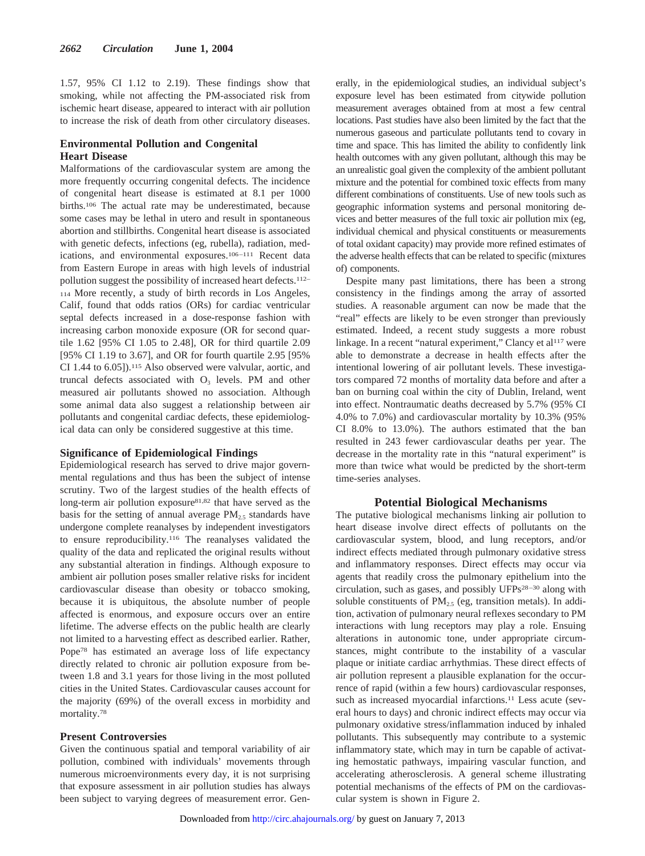1.57, 95% CI 1.12 to 2.19). These findings show that smoking, while not affecting the PM-associated risk from ischemic heart disease, appeared to interact with air pollution to increase the risk of death from other circulatory diseases.

## **Environmental Pollution and Congenital Heart Disease**

Malformations of the cardiovascular system are among the more frequently occurring congenital defects. The incidence of congenital heart disease is estimated at 8.1 per 1000 births.106 The actual rate may be underestimated, because some cases may be lethal in utero and result in spontaneous abortion and stillbirths. Congenital heart disease is associated with genetic defects, infections (eg, rubella), radiation, medications, and environmental exposures.106–111 Recent data from Eastern Europe in areas with high levels of industrial pollution suggest the possibility of increased heart defects.112– <sup>114</sup> More recently, a study of birth records in Los Angeles, Calif, found that odds ratios (ORs) for cardiac ventricular septal defects increased in a dose-response fashion with increasing carbon monoxide exposure (OR for second quartile 1.62 [95% CI 1.05 to 2.48], OR for third quartile 2.09 [95% CI 1.19 to 3.67], and OR for fourth quartile 2.95 [95% CI 1.44 to 6.05]).115 Also observed were valvular, aortic, and truncal defects associated with  $O<sub>3</sub>$  levels. PM and other measured air pollutants showed no association. Although some animal data also suggest a relationship between air pollutants and congenital cardiac defects, these epidemiological data can only be considered suggestive at this time.

#### **Significance of Epidemiological Findings**

Epidemiological research has served to drive major governmental regulations and thus has been the subject of intense scrutiny. Two of the largest studies of the health effects of long-term air pollution exposure<sup>81,82</sup> that have served as the basis for the setting of annual average  $PM_{2.5}$  standards have undergone complete reanalyses by independent investigators to ensure reproducibility.116 The reanalyses validated the quality of the data and replicated the original results without any substantial alteration in findings. Although exposure to ambient air pollution poses smaller relative risks for incident cardiovascular disease than obesity or tobacco smoking, because it is ubiquitous, the absolute number of people affected is enormous, and exposure occurs over an entire lifetime. The adverse effects on the public health are clearly not limited to a harvesting effect as described earlier. Rather, Pope78 has estimated an average loss of life expectancy directly related to chronic air pollution exposure from between 1.8 and 3.1 years for those living in the most polluted cities in the United States. Cardiovascular causes account for the majority (69%) of the overall excess in morbidity and mortality.78

#### **Present Controversies**

Given the continuous spatial and temporal variability of air pollution, combined with individuals' movements through numerous microenvironments every day, it is not surprising that exposure assessment in air pollution studies has always been subject to varying degrees of measurement error. Generally, in the epidemiological studies, an individual subject's exposure level has been estimated from citywide pollution measurement averages obtained from at most a few central locations. Past studies have also been limited by the fact that the numerous gaseous and particulate pollutants tend to covary in time and space. This has limited the ability to confidently link health outcomes with any given pollutant, although this may be an unrealistic goal given the complexity of the ambient pollutant mixture and the potential for combined toxic effects from many different combinations of constituents. Use of new tools such as geographic information systems and personal monitoring devices and better measures of the full toxic air pollution mix (eg, individual chemical and physical constituents or measurements of total oxidant capacity) may provide more refined estimates of the adverse health effects that can be related to specific (mixtures of) components.

Despite many past limitations, there has been a strong consistency in the findings among the array of assorted studies. A reasonable argument can now be made that the "real" effects are likely to be even stronger than previously estimated. Indeed, a recent study suggests a more robust linkage. In a recent "natural experiment," Clancy et al<sup>117</sup> were able to demonstrate a decrease in health effects after the intentional lowering of air pollutant levels. These investigators compared 72 months of mortality data before and after a ban on burning coal within the city of Dublin, Ireland, went into effect. Nontraumatic deaths decreased by 5.7% (95% CI 4.0% to 7.0%) and cardiovascular mortality by 10.3% (95% CI 8.0% to 13.0%). The authors estimated that the ban resulted in 243 fewer cardiovascular deaths per year. The decrease in the mortality rate in this "natural experiment" is more than twice what would be predicted by the short-term time-series analyses.

#### **Potential Biological Mechanisms**

The putative biological mechanisms linking air pollution to heart disease involve direct effects of pollutants on the cardiovascular system, blood, and lung receptors, and/or indirect effects mediated through pulmonary oxidative stress and inflammatory responses. Direct effects may occur via agents that readily cross the pulmonary epithelium into the circulation, such as gases, and possibly UFPs28–30 along with soluble constituents of  $PM_{2.5}$  (eg, transition metals). In addition, activation of pulmonary neural reflexes secondary to PM interactions with lung receptors may play a role. Ensuing alterations in autonomic tone, under appropriate circumstances, might contribute to the instability of a vascular plaque or initiate cardiac arrhythmias. These direct effects of air pollution represent a plausible explanation for the occurrence of rapid (within a few hours) cardiovascular responses, such as increased myocardial infarctions.<sup>11</sup> Less acute (several hours to days) and chronic indirect effects may occur via pulmonary oxidative stress/inflammation induced by inhaled pollutants. This subsequently may contribute to a systemic inflammatory state, which may in turn be capable of activating hemostatic pathways, impairing vascular function, and accelerating atherosclerosis. A general scheme illustrating potential mechanisms of the effects of PM on the cardiovascular system is shown in Figure 2.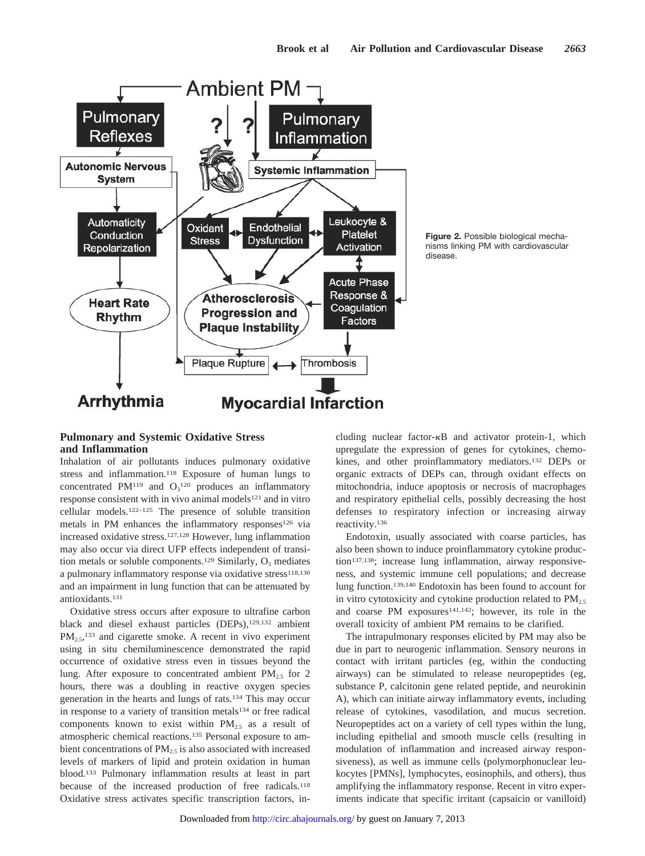



## **Pulmonary and Systemic Oxidative Stress and Inflammation**

Inhalation of air pollutants induces pulmonary oxidative stress and inflammation.118 Exposure of human lungs to concentrated PM<sup>119</sup> and  $O<sub>3</sub>$ <sup>120</sup> produces an inflammatory response consistent with in vivo animal models<sup>121</sup> and in vitro cellular models.122–125 The presence of soluble transition metals in PM enhances the inflammatory responses<sup>126</sup> via increased oxidative stress.127,128 However, lung inflammation may also occur via direct UFP effects independent of transition metals or soluble components.<sup>129</sup> Similarly,  $O_3$  mediates a pulmonary inflammatory response via oxidative stress<sup>118,130</sup> and an impairment in lung function that can be attenuated by antioxidants.131

Oxidative stress occurs after exposure to ultrafine carbon black and diesel exhaust particles (DEPs),<sup>129,132</sup> ambient PM<sub>2.5</sub>,<sup>133</sup> and cigarette smoke. A recent in vivo experiment using in situ chemiluminescence demonstrated the rapid occurrence of oxidative stress even in tissues beyond the lung. After exposure to concentrated ambient  $PM_{2.5}$  for 2 hours, there was a doubling in reactive oxygen species generation in the hearts and lungs of rats.134 This may occur in response to a variety of transition metals<sup>134</sup> or free radical components known to exist within  $PM_{2.5}$  as a result of atmospheric chemical reactions.135 Personal exposure to ambient concentrations of  $PM<sub>2.5</sub>$  is also associated with increased levels of markers of lipid and protein oxidation in human blood.133 Pulmonary inflammation results at least in part because of the increased production of free radicals.118 Oxidative stress activates specific transcription factors, in-

cluding nuclear factor- $\kappa$ B and activator protein-1, which upregulate the expression of genes for cytokines, chemokines, and other proinflammatory mediators.132 DEPs or organic extracts of DEPs can, through oxidant effects on mitochondria, induce apoptosis or necrosis of macrophages and respiratory epithelial cells, possibly decreasing the host defenses to respiratory infection or increasing airway reactivity.136

Endotoxin, usually associated with coarse particles, has also been shown to induce proinflammatory cytokine production<sup>137,138</sup>; increase lung inflammation, airway responsiveness, and systemic immune cell populations; and decrease lung function.139,140 Endotoxin has been found to account for in vitro cytotoxicity and cytokine production related to  $PM_{2.5}$ and coarse PM exposures<sup>141,142</sup>; however, its role in the overall toxicity of ambient PM remains to be clarified.

The intrapulmonary responses elicited by PM may also be due in part to neurogenic inflammation. Sensory neurons in contact with irritant particles (eg, within the conducting airways) can be stimulated to release neuropeptides (eg, substance P, calcitonin gene related peptide, and neurokinin A), which can initiate airway inflammatory events, including release of cytokines, vasodilation, and mucus secretion. Neuropeptides act on a variety of cell types within the lung, including epithelial and smooth muscle cells (resulting in modulation of inflammation and increased airway responsiveness), as well as immune cells (polymorphonuclear leukocytes [PMNs], lymphocytes, eosinophils, and others), thus amplifying the inflammatory response. Recent in vitro experiments indicate that specific irritant (capsaicin or vanilloid)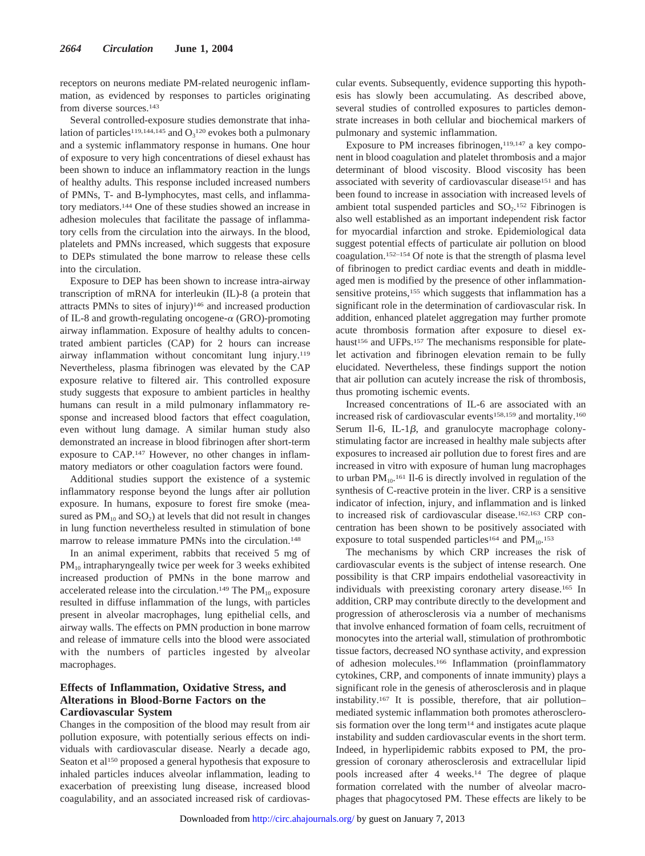receptors on neurons mediate PM-related neurogenic inflammation, as evidenced by responses to particles originating from diverse sources.143

Several controlled-exposure studies demonstrate that inhalation of particles<sup>119,144,145</sup> and  $O<sub>3</sub>$ <sup>120</sup> evokes both a pulmonary and a systemic inflammatory response in humans. One hour of exposure to very high concentrations of diesel exhaust has been shown to induce an inflammatory reaction in the lungs of healthy adults. This response included increased numbers of PMNs, T- and B-lymphocytes, mast cells, and inflammatory mediators.144 One of these studies showed an increase in adhesion molecules that facilitate the passage of inflammatory cells from the circulation into the airways. In the blood, platelets and PMNs increased, which suggests that exposure to DEPs stimulated the bone marrow to release these cells into the circulation.

Exposure to DEP has been shown to increase intra-airway transcription of mRNA for interleukin (IL)-8 (a protein that attracts PMNs to sites of injury)146 and increased production of IL-8 and growth-regulating oncogene- $\alpha$  (GRO)-promoting airway inflammation. Exposure of healthy adults to concentrated ambient particles (CAP) for 2 hours can increase airway inflammation without concomitant lung injury.119 Nevertheless, plasma fibrinogen was elevated by the CAP exposure relative to filtered air. This controlled exposure study suggests that exposure to ambient particles in healthy humans can result in a mild pulmonary inflammatory response and increased blood factors that effect coagulation, even without lung damage. A similar human study also demonstrated an increase in blood fibrinogen after short-term exposure to CAP.147 However, no other changes in inflammatory mediators or other coagulation factors were found.

Additional studies support the existence of a systemic inflammatory response beyond the lungs after air pollution exposure. In humans, exposure to forest fire smoke (measured as  $PM_{10}$  and  $SO_2$ ) at levels that did not result in changes in lung function nevertheless resulted in stimulation of bone marrow to release immature PMNs into the circulation.148

In an animal experiment, rabbits that received 5 mg of PM<sub>10</sub> intrapharyngeally twice per week for 3 weeks exhibited increased production of PMNs in the bone marrow and accelerated release into the circulation.<sup>149</sup> The  $PM_{10}$  exposure resulted in diffuse inflammation of the lungs, with particles present in alveolar macrophages, lung epithelial cells, and airway walls. The effects on PMN production in bone marrow and release of immature cells into the blood were associated with the numbers of particles ingested by alveolar macrophages.

## **Effects of Inflammation, Oxidative Stress, and Alterations in Blood-Borne Factors on the Cardiovascular System**

Changes in the composition of the blood may result from air pollution exposure, with potentially serious effects on individuals with cardiovascular disease. Nearly a decade ago, Seaton et al<sup>150</sup> proposed a general hypothesis that exposure to inhaled particles induces alveolar inflammation, leading to exacerbation of preexisting lung disease, increased blood coagulability, and an associated increased risk of cardiovascular events. Subsequently, evidence supporting this hypothesis has slowly been accumulating. As described above, several studies of controlled exposures to particles demonstrate increases in both cellular and biochemical markers of pulmonary and systemic inflammation.

Exposure to PM increases fibrinogen, $119,147$  a key component in blood coagulation and platelet thrombosis and a major determinant of blood viscosity. Blood viscosity has been associated with severity of cardiovascular disease<sup>151</sup> and has been found to increase in association with increased levels of ambient total suspended particles and  $SO<sub>2</sub>$ .<sup>152</sup> Fibrinogen is also well established as an important independent risk factor for myocardial infarction and stroke. Epidemiological data suggest potential effects of particulate air pollution on blood coagulation.152–154 Of note is that the strength of plasma level of fibrinogen to predict cardiac events and death in middleaged men is modified by the presence of other inflammationsensitive proteins,<sup>155</sup> which suggests that inflammation has a significant role in the determination of cardiovascular risk. In addition, enhanced platelet aggregation may further promote acute thrombosis formation after exposure to diesel exhaust<sup>156</sup> and UFPs.<sup>157</sup> The mechanisms responsible for platelet activation and fibrinogen elevation remain to be fully elucidated. Nevertheless, these findings support the notion that air pollution can acutely increase the risk of thrombosis, thus promoting ischemic events.

Increased concentrations of IL-6 are associated with an increased risk of cardiovascular events<sup>158,159</sup> and mortality.<sup>160</sup> Serum Il-6, IL-1 $\beta$ , and granulocyte macrophage colonystimulating factor are increased in healthy male subjects after exposures to increased air pollution due to forest fires and are increased in vitro with exposure of human lung macrophages to urban  $PM_{10}$ .<sup>161</sup> Il-6 is directly involved in regulation of the synthesis of C-reactive protein in the liver. CRP is a sensitive indicator of infection, injury, and inflammation and is linked to increased risk of cardiovascular disease.162,163 CRP concentration has been shown to be positively associated with exposure to total suspended particles<sup>164</sup> and  $PM_{10}$ .<sup>153</sup>

The mechanisms by which CRP increases the risk of cardiovascular events is the subject of intense research. One possibility is that CRP impairs endothelial vasoreactivity in individuals with preexisting coronary artery disease.165 In addition, CRP may contribute directly to the development and progression of atherosclerosis via a number of mechanisms that involve enhanced formation of foam cells, recruitment of monocytes into the arterial wall, stimulation of prothrombotic tissue factors, decreased NO synthase activity, and expression of adhesion molecules.166 Inflammation (proinflammatory cytokines, CRP, and components of innate immunity) plays a significant role in the genesis of atherosclerosis and in plaque instability.167 It is possible, therefore, that air pollution– mediated systemic inflammation both promotes atherosclerosis formation over the long term $14$  and instigates acute plaque instability and sudden cardiovascular events in the short term. Indeed, in hyperlipidemic rabbits exposed to PM, the progression of coronary atherosclerosis and extracellular lipid pools increased after 4 weeks.14 The degree of plaque formation correlated with the number of alveolar macrophages that phagocytosed PM. These effects are likely to be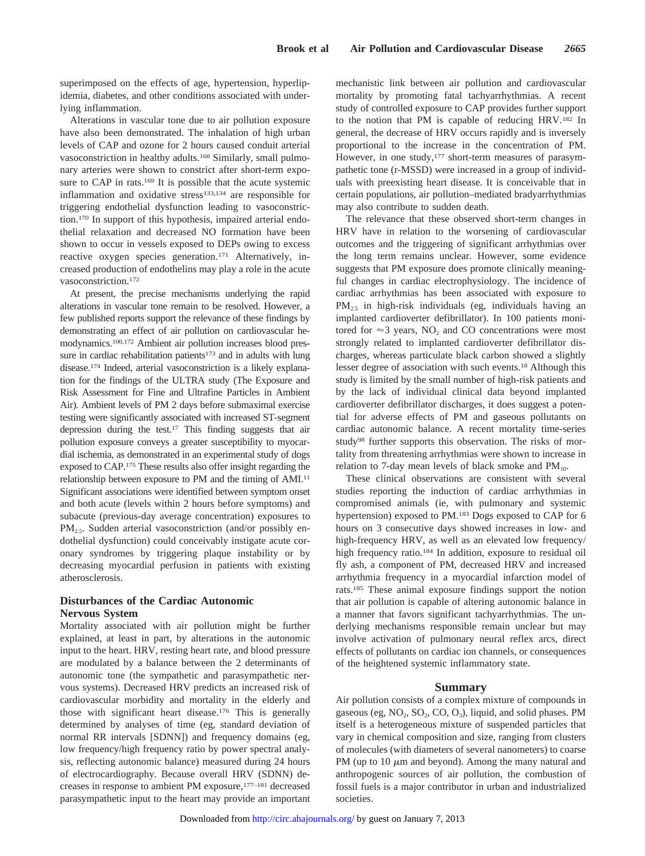superimposed on the effects of age, hypertension, hyperlipidemia, diabetes, and other conditions associated with underlying inflammation.

Alterations in vascular tone due to air pollution exposure have also been demonstrated. The inhalation of high urban levels of CAP and ozone for 2 hours caused conduit arterial vasoconstriction in healthy adults.168 Similarly, small pulmonary arteries were shown to constrict after short-term exposure to CAP in rats.<sup>169</sup> It is possible that the acute systemic inflammation and oxidative stress133,134 are responsible for triggering endothelial dysfunction leading to vasoconstriction.170 In support of this hypothesis, impaired arterial endothelial relaxation and decreased NO formation have been shown to occur in vessels exposed to DEPs owing to excess reactive oxygen species generation.171 Alternatively, increased production of endothelins may play a role in the acute vasoconstriction.172

At present, the precise mechanisms underlying the rapid alterations in vascular tone remain to be resolved. However, a few published reports support the relevance of these findings by demonstrating an effect of air pollution on cardiovascular hemodynamics.100,172 Ambient air pollution increases blood pressure in cardiac rehabilitation patients<sup>173</sup> and in adults with lung disease.174 Indeed, arterial vasoconstriction is a likely explanation for the findings of the ULTRA study (The Exposure and Risk Assessment for Fine and Ultrafine Particles in Ambient Air). Ambient levels of PM 2 days before submaximal exercise testing were significantly associated with increased ST-segment depression during the test.17 This finding suggests that air pollution exposure conveys a greater susceptibility to myocardial ischemia, as demonstrated in an experimental study of dogs exposed to CAP.175 These results also offer insight regarding the relationship between exposure to PM and the timing of AMI.11 Significant associations were identified between symptom onset and both acute (levels within 2 hours before symptoms) and subacute (previous-day average concentration) exposures to PM<sub>2.5</sub>. Sudden arterial vasoconstriction (and/or possibly endothelial dysfunction) could conceivably instigate acute coronary syndromes by triggering plaque instability or by decreasing myocardial perfusion in patients with existing atherosclerosis.

## **Disturbances of the Cardiac Autonomic Nervous System**

Mortality associated with air pollution might be further explained, at least in part, by alterations in the autonomic input to the heart. HRV, resting heart rate, and blood pressure are modulated by a balance between the 2 determinants of autonomic tone (the sympathetic and parasympathetic nervous systems). Decreased HRV predicts an increased risk of cardiovascular morbidity and mortality in the elderly and those with significant heart disease.176 This is generally determined by analyses of time (eg, standard deviation of normal RR intervals [SDNN]) and frequency domains (eg, low frequency/high frequency ratio by power spectral analysis, reflecting autonomic balance) measured during 24 hours of electrocardiography. Because overall HRV (SDNN) decreases in response to ambient PM exposure,177–181 decreased parasympathetic input to the heart may provide an important

mechanistic link between air pollution and cardiovascular mortality by promoting fatal tachyarrhythmias. A recent study of controlled exposure to CAP provides further support to the notion that PM is capable of reducing HRV.182 In general, the decrease of HRV occurs rapidly and is inversely proportional to the increase in the concentration of PM. However, in one study,<sup>177</sup> short-term measures of parasympathetic tone (r-MSSD) were increased in a group of individuals with preexisting heart disease. It is conceivable that in certain populations, air pollution–mediated bradyarrhythmias may also contribute to sudden death.

The relevance that these observed short-term changes in HRV have in relation to the worsening of cardiovascular outcomes and the triggering of significant arrhythmias over the long term remains unclear. However, some evidence suggests that PM exposure does promote clinically meaningful changes in cardiac electrophysiology. The incidence of cardiac arrhythmias has been associated with exposure to PM2.5 in high-risk individuals (eg, individuals having an implanted cardioverter defibrillator). In 100 patients monitored for  $\approx$ 3 years, NO<sub>2</sub> and CO concentrations were most strongly related to implanted cardioverter defibrillator discharges, whereas particulate black carbon showed a slightly lesser degree of association with such events.18 Although this study is limited by the small number of high-risk patients and by the lack of individual clinical data beyond implanted cardioverter defibrillator discharges, it does suggest a potential for adverse effects of PM and gaseous pollutants on cardiac autonomic balance. A recent mortality time-series study<sup>98</sup> further supports this observation. The risks of mortality from threatening arrhythmias were shown to increase in relation to 7-day mean levels of black smoke and  $PM_{10}$ .

These clinical observations are consistent with several studies reporting the induction of cardiac arrhythmias in compromised animals (ie, with pulmonary and systemic hypertension) exposed to PM.183 Dogs exposed to CAP for 6 hours on 3 consecutive days showed increases in low- and high-frequency HRV, as well as an elevated low frequency/ high frequency ratio.<sup>184</sup> In addition, exposure to residual oil fly ash, a component of PM, decreased HRV and increased arrhythmia frequency in a myocardial infarction model of rats.185 These animal exposure findings support the notion that air pollution is capable of altering autonomic balance in a manner that favors significant tachyarrhythmias. The underlying mechanisms responsible remain unclear but may involve activation of pulmonary neural reflex arcs, direct effects of pollutants on cardiac ion channels, or consequences of the heightened systemic inflammatory state.

#### **Summary**

Air pollution consists of a complex mixture of compounds in gaseous (eg,  $NO_2$ ,  $SO_2$ ,  $CO$ ,  $O_3$ ), liquid, and solid phases. PM itself is a heterogeneous mixture of suspended particles that vary in chemical composition and size, ranging from clusters of molecules (with diameters of several nanometers) to coarse PM (up to 10  $\mu$ m and beyond). Among the many natural and anthropogenic sources of air pollution, the combustion of fossil fuels is a major contributor in urban and industrialized societies.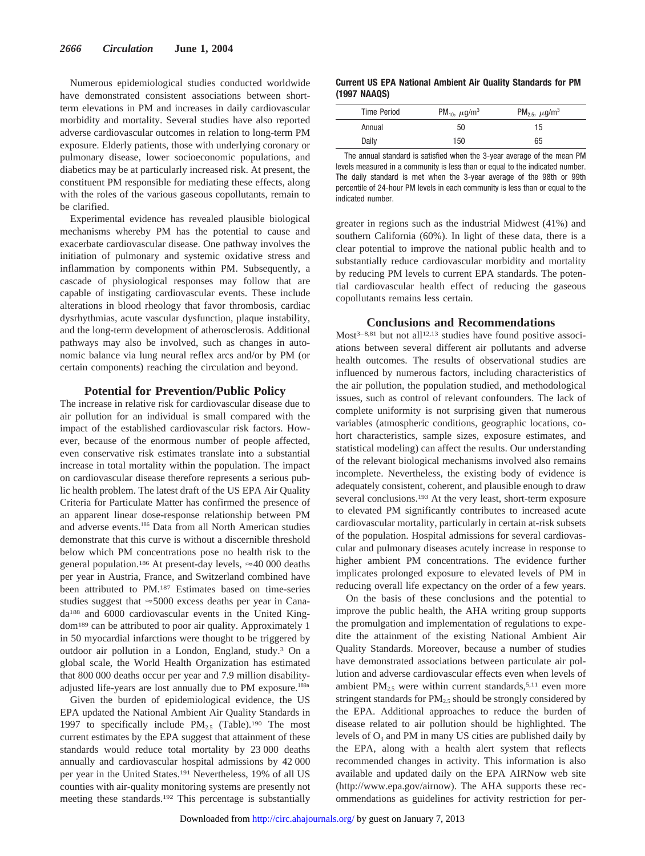Numerous epidemiological studies conducted worldwide have demonstrated consistent associations between shortterm elevations in PM and increases in daily cardiovascular morbidity and mortality. Several studies have also reported adverse cardiovascular outcomes in relation to long-term PM exposure. Elderly patients, those with underlying coronary or pulmonary disease, lower socioeconomic populations, and diabetics may be at particularly increased risk. At present, the constituent PM responsible for mediating these effects, along with the roles of the various gaseous copollutants, remain to be clarified.

Experimental evidence has revealed plausible biological mechanisms whereby PM has the potential to cause and exacerbate cardiovascular disease. One pathway involves the initiation of pulmonary and systemic oxidative stress and inflammation by components within PM. Subsequently, a cascade of physiological responses may follow that are capable of instigating cardiovascular events. These include alterations in blood rheology that favor thrombosis, cardiac dysrhythmias, acute vascular dysfunction, plaque instability, and the long-term development of atherosclerosis. Additional pathways may also be involved, such as changes in autonomic balance via lung neural reflex arcs and/or by PM (or certain components) reaching the circulation and beyond.

#### **Potential for Prevention/Public Policy**

The increase in relative risk for cardiovascular disease due to air pollution for an individual is small compared with the impact of the established cardiovascular risk factors. However, because of the enormous number of people affected, even conservative risk estimates translate into a substantial increase in total mortality within the population. The impact on cardiovascular disease therefore represents a serious public health problem. The latest draft of the US EPA Air Quality Criteria for Particulate Matter has confirmed the presence of an apparent linear dose-response relationship between PM and adverse events.186 Data from all North American studies demonstrate that this curve is without a discernible threshold below which PM concentrations pose no health risk to the general population.<sup>186</sup> At present-day levels,  $\approx$  40 000 deaths per year in Austria, France, and Switzerland combined have been attributed to PM.187 Estimates based on time-series studies suggest that  $\approx$  5000 excess deaths per year in Canada188 and 6000 cardiovascular events in the United Kingdom189 can be attributed to poor air quality. Approximately 1 in 50 myocardial infarctions were thought to be triggered by outdoor air pollution in a London, England, study.3 On a global scale, the World Health Organization has estimated that 800 000 deaths occur per year and 7.9 million disabilityadjusted life-years are lost annually due to PM exposure.<sup>189a</sup>

Given the burden of epidemiological evidence, the US EPA updated the National Ambient Air Quality Standards in 1997 to specifically include  $PM_{2.5}$  (Table).<sup>190</sup> The most current estimates by the EPA suggest that attainment of these standards would reduce total mortality by 23 000 deaths annually and cardiovascular hospital admissions by 42 000 per year in the United States.191 Nevertheless, 19% of all US counties with air-quality monitoring systems are presently not meeting these standards.192 This percentage is substantially

|              |  |  |  | <b>Current US EPA National Ambient Air Quality Standards for PM</b> |  |
|--------------|--|--|--|---------------------------------------------------------------------|--|
| (1997 NAAQS) |  |  |  |                                                                     |  |

| <b>Time Period</b> | PM <sub>10</sub> , $\mu$ g/m <sup>3</sup> | PM <sub>2.5</sub> , $\mu$ g/m <sup>3</sup> |
|--------------------|-------------------------------------------|--------------------------------------------|
| Annual             | 50                                        | 15                                         |
| Daily              | 150                                       | 65                                         |

The annual standard is satisfied when the 3-year average of the mean PM levels measured in a community is less than or equal to the indicated number. The daily standard is met when the 3-year average of the 98th or 99th percentile of 24-hour PM levels in each community is less than or equal to the indicated number.

greater in regions such as the industrial Midwest (41%) and southern California (60%). In light of these data, there is a clear potential to improve the national public health and to substantially reduce cardiovascular morbidity and mortality by reducing PM levels to current EPA standards. The potential cardiovascular health effect of reducing the gaseous copollutants remains less certain.

#### **Conclusions and Recommendations**

 $Most3-8,81}$  but not all<sup>12,13</sup> studies have found positive associations between several different air pollutants and adverse health outcomes. The results of observational studies are influenced by numerous factors, including characteristics of the air pollution, the population studied, and methodological issues, such as control of relevant confounders. The lack of complete uniformity is not surprising given that numerous variables (atmospheric conditions, geographic locations, cohort characteristics, sample sizes, exposure estimates, and statistical modeling) can affect the results. Our understanding of the relevant biological mechanisms involved also remains incomplete. Nevertheless, the existing body of evidence is adequately consistent, coherent, and plausible enough to draw several conclusions.<sup>193</sup> At the very least, short-term exposure to elevated PM significantly contributes to increased acute cardiovascular mortality, particularly in certain at-risk subsets of the population. Hospital admissions for several cardiovascular and pulmonary diseases acutely increase in response to higher ambient PM concentrations. The evidence further implicates prolonged exposure to elevated levels of PM in reducing overall life expectancy on the order of a few years.

On the basis of these conclusions and the potential to improve the public health, the AHA writing group supports the promulgation and implementation of regulations to expedite the attainment of the existing National Ambient Air Quality Standards. Moreover, because a number of studies have demonstrated associations between particulate air pollution and adverse cardiovascular effects even when levels of ambient  $PM_{2.5}$  were within current standards,<sup>5,11</sup> even more stringent standards for  $PM_{2.5}$  should be strongly considered by the EPA. Additional approaches to reduce the burden of disease related to air pollution should be highlighted. The levels of  $O_3$  and PM in many US cities are published daily by the EPA, along with a health alert system that reflects recommended changes in activity. This information is also available and updated daily on the EPA AIRNow web site (http://www.epa.gov/airnow). The AHA supports these recommendations as guidelines for activity restriction for per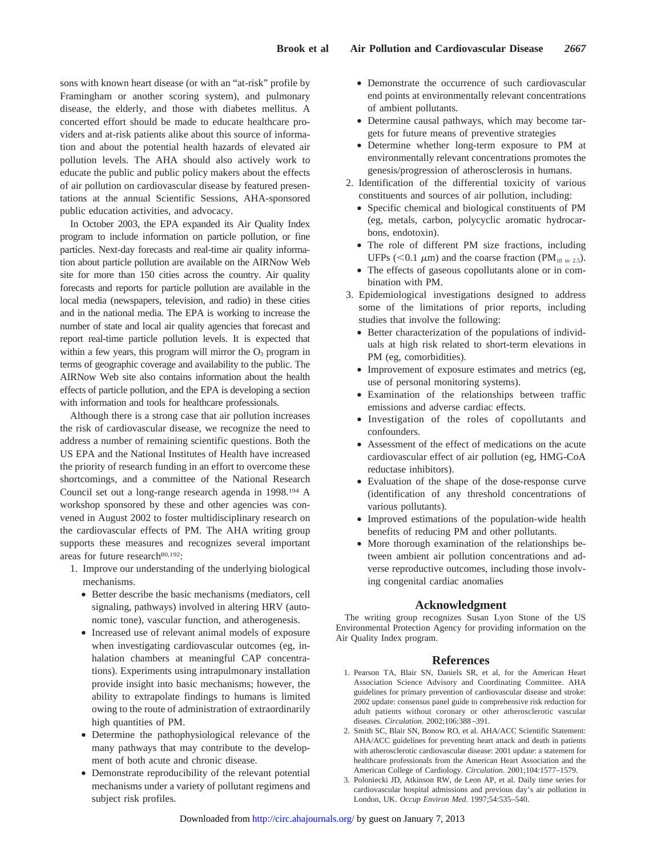sons with known heart disease (or with an "at-risk" profile by Framingham or another scoring system), and pulmonary disease, the elderly, and those with diabetes mellitus. A concerted effort should be made to educate healthcare providers and at-risk patients alike about this source of information and about the potential health hazards of elevated air pollution levels. The AHA should also actively work to educate the public and public policy makers about the effects of air pollution on cardiovascular disease by featured presentations at the annual Scientific Sessions, AHA-sponsored public education activities, and advocacy.

In October 2003, the EPA expanded its Air Quality Index program to include information on particle pollution, or fine particles. Next-day forecasts and real-time air quality information about particle pollution are available on the AIRNow Web site for more than 150 cities across the country. Air quality forecasts and reports for particle pollution are available in the local media (newspapers, television, and radio) in these cities and in the national media. The EPA is working to increase the number of state and local air quality agencies that forecast and report real-time particle pollution levels. It is expected that within a few years, this program will mirror the  $O_3$  program in terms of geographic coverage and availability to the public. The AIRNow Web site also contains information about the health effects of particle pollution, and the EPA is developing a section with information and tools for healthcare professionals.

Although there is a strong case that air pollution increases the risk of cardiovascular disease, we recognize the need to address a number of remaining scientific questions. Both the US EPA and the National Institutes of Health have increased the priority of research funding in an effort to overcome these shortcomings, and a committee of the National Research Council set out a long-range research agenda in 1998.194 A workshop sponsored by these and other agencies was convened in August 2002 to foster multidisciplinary research on the cardiovascular effects of PM. The AHA writing group supports these measures and recognizes several important areas for future research<sup>80,192</sup>:

- 1. Improve our understanding of the underlying biological mechanisms.
	- Better describe the basic mechanisms (mediators, cell signaling, pathways) involved in altering HRV (autonomic tone), vascular function, and atherogenesis.
	- Increased use of relevant animal models of exposure when investigating cardiovascular outcomes (eg, inhalation chambers at meaningful CAP concentrations). Experiments using intrapulmonary installation provide insight into basic mechanisms; however, the ability to extrapolate findings to humans is limited owing to the route of administration of extraordinarily high quantities of PM.
	- Determine the pathophysiological relevance of the many pathways that may contribute to the development of both acute and chronic disease.
	- Demonstrate reproducibility of the relevant potential mechanisms under a variety of pollutant regimens and subject risk profiles.
- Demonstrate the occurrence of such cardiovascular end points at environmentally relevant concentrations of ambient pollutants.
- Determine causal pathways, which may become targets for future means of preventive strategies
- Determine whether long-term exposure to PM at environmentally relevant concentrations promotes the genesis/progression of atherosclerosis in humans.
- 2. Identification of the differential toxicity of various constituents and sources of air pollution, including:
	- Specific chemical and biological constituents of PM (eg, metals, carbon, polycyclic aromatic hydrocarbons, endotoxin).
	- The role of different PM size fractions, including UFPs ( $\leq 0.1 \mu$ m) and the coarse fraction (PM<sub>10 to 2.5</sub>).
	- The effects of gaseous copollutants alone or in combination with PM.
- 3. Epidemiological investigations designed to address some of the limitations of prior reports, including studies that involve the following:
	- Better characterization of the populations of individuals at high risk related to short-term elevations in PM (eg, comorbidities).
	- Improvement of exposure estimates and metrics (eg, use of personal monitoring systems).
	- Examination of the relationships between traffic emissions and adverse cardiac effects.
	- Investigation of the roles of copollutants and confounders.
	- Assessment of the effect of medications on the acute cardiovascular effect of air pollution (eg, HMG-CoA reductase inhibitors).
	- Evaluation of the shape of the dose-response curve (identification of any threshold concentrations of various pollutants).
	- Improved estimations of the population-wide health benefits of reducing PM and other pollutants.
	- More thorough examination of the relationships between ambient air pollution concentrations and adverse reproductive outcomes, including those involving congenital cardiac anomalies

## **Acknowledgment**

The writing group recognizes Susan Lyon Stone of the US Environmental Protection Agency for providing information on the Air Quality Index program.

#### **References**

- 1. Pearson TA, Blair SN, Daniels SR, et al, for the American Heart Association Science Advisory and Coordinating Committee. AHA guidelines for primary prevention of cardiovascular disease and stroke: 2002 update: consensus panel guide to comprehensive risk reduction for adult patients without coronary or other atherosclerotic vascular diseases. *Circulation*. 2002;106:388–391.
- 2. Smith SC, Blair SN, Bonow RO, et al. AHA/ACC Scientific Statement: AHA/ACC guidelines for preventing heart attack and death in patients with atherosclerotic cardiovascular disease: 2001 update: a statement for healthcare professionals from the American Heart Association and the American College of Cardiology. *Circulation*. 2001;104:1577–1579.
- 3. Poloniecki JD, Atkinson RW, de Leon AP, et al. Daily time series for cardiovascular hospital admissions and previous day's air pollution in London, UK. *Occup Environ Med*. 1997;54:535–540.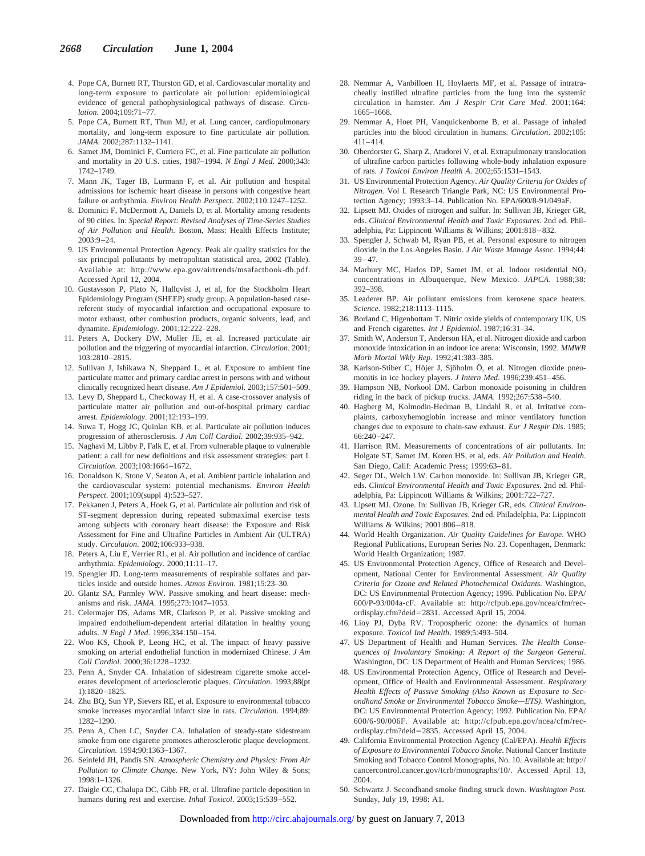- 4. Pope CA, Burnett RT, Thurston GD, et al. Cardiovascular mortality and long-term exposure to particulate air pollution: epidemiological evidence of general pathophysiological pathways of disease. *Circulation*. 2004;109:71–77.
- 5. Pope CA, Burnett RT, Thun MJ, et al. Lung cancer, cardiopulmonary mortality, and long-term exposure to fine particulate air pollution. *JAMA*. 2002;287:1132–1141.
- 6. Samet JM, Dominici F, Curriero FC, et al. Fine particulate air pollution and mortality in 20 U.S. cities, 1987–1994. *N Engl J Med*. 2000;343: 1742–1749.
- 7. Mann JK, Tager IB, Lurmann F, et al. Air pollution and hospital admissions for ischemic heart disease in persons with congestive heart failure or arrhythmia. *Environ Health Perspect*. 2002;110:1247–1252.
- 8. Dominici F, McDermott A, Daniels D, et al. Mortality among residents of 90 cities. In: *Special Report: Revised Analyses of Time-Series Studies of Air Pollution and Health*. Boston, Mass: Health Effects Institute; 2003:9–24.
- 9. US Environmental Protection Agency. Peak air quality statistics for the six principal pollutants by metropolitan statistical area, 2002 (Table). Available at: http://www.epa.gov/airtrends/msafactbook-db.pdf. Accessed April 12, 2004.
- 10. Gustavsson P, Plato N, Hallqvist J, et al, for the Stockholm Heart Epidemiology Program (SHEEP) study group. A population-based casereferent study of myocardial infarction and occupational exposure to motor exhaust, other combustion products, organic solvents, lead, and dynamite. *Epidemiology*. 2001;12:222–228.
- 11. Peters A, Dockery DW, Muller JE, et al. Increased particulate air pollution and the triggering of myocardial infarction. *Circulation*. 2001; 103:2810–2815.
- 12. Sullivan J, Ishikawa N, Sheppard L, et al. Exposure to ambient fine particulate matter and primary cardiac arrest in persons with and without clinically recognized heart disease. *Am J Epidemiol*. 2003;157:501–509.
- 13. Levy D, Sheppard L, Checkoway H, et al. A case-crossover analysis of particulate matter air pollution and out-of-hospital primary cardiac arrest. *Epidemiology*. 2001;12:193–199.
- 14. Suwa T, Hogg JC, Quinlan KB, et al. Particulate air pollution induces progression of atherosclerosis. *J Am Coll Cardiol*. 2002;39:935–942.
- 15. Naghavi M, Libby P, Falk E, et al. From vulnerable plaque to vulnerable patient: a call for new definitions and risk assessment strategies: part I. *Circulation*. 2003;108:1664–1672.
- 16. Donaldson K, Stone V, Seaton A, et al. Ambient particle inhalation and the cardiovascular system: potential mechanisms. *Environ Health Perspect*. 2001;109(suppl 4):523–527.
- 17. Pekkanen J, Peters A, Hoek G, et al. Particulate air pollution and risk of ST-segment depression during repeated submaximal exercise tests among subjects with coronary heart disease: the Exposure and Risk Assessment for Fine and Ultrafine Particles in Ambient Air (ULTRA) study. *Circulation*. 2002;106:933–938.
- 18. Peters A, Liu E, Verrier RL, et al. Air pollution and incidence of cardiac arrhythmia. *Epidemiology*. 2000;11:11–17.
- 19. Spengler JD. Long-term measurements of respirable sulfates and particles inside and outside homes. *Atmos Environ*. 1981;15:23–30.
- 20. Glantz SA, Parmley WW. Passive smoking and heart disease: mechanisms and risk. *JAMA*. 1995;273:1047–1053.
- 21. Celermajer DS, Adams MR, Clarkson P, et al. Passive smoking and impaired endothelium-dependent arterial dilatation in healthy young adults. *N Engl J Med*. 1996;334:150–154.
- 22. Woo KS, Chook P, Leong HC, et al. The impact of heavy passive smoking on arterial endothelial function in modernized Chinese. *J Am Coll Cardiol*. 2000;36:1228–1232.
- 23. Penn A, Snyder CA. Inhalation of sidestream cigarette smoke accelerates development of arteriosclerotic plaques. *Circulation*. 1993;88(pt 1):1820–1825.
- 24. Zhu BQ, Sun YP, Sievers RE, et al. Exposure to environmental tobacco smoke increases myocardial infarct size in rats. *Circulation*. 1994;89: 1282–1290.
- 25. Penn A, Chen LC, Snyder CA. Inhalation of steady-state sidestream smoke from one cigarette promotes atherosclerotic plaque development. *Circulation*. 1994;90:1363–1367.
- 26. Seinfeld JH, Pandis SN. *Atmospheric Chemistry and Physics: From Air Pollution to Climate Change*. New York, NY: John Wiley & Sons; 1998:1–1326.
- 27. Daigle CC, Chalupa DC, Gibb FR, et al. Ultrafine particle deposition in humans during rest and exercise. *Inhal Toxicol*. 2003;15:539–552.
- 28. Nemmar A, Vanbilloen H, Hoylaerts MF, et al. Passage of intratracheally instilled ultrafine particles from the lung into the systemic circulation in hamster. *Am J Respir Crit Care Med*. 2001;164: 1665–1668.
- 29. Nemmar A, Hoet PH, Vanquickenborne B, et al. Passage of inhaled particles into the blood circulation in humans. *Circulation*. 2002;105: 411–414.
- 30. Oberdorster G, Sharp Z, Atudorei V, et al. Extrapulmonary translocation of ultrafine carbon particles following whole-body inhalation exposure of rats. *J Toxicol Environ Health A*. 2002;65:1531–1543.
- 31. US Environmental Protection Agency. *Air Quality Criteria for Oxides of Nitrogen.* Vol I. Research Triangle Park, NC: US Environmental Protection Agency; 1993:3–14. Publication No. EPA/600/8-91/049aF.
- 32. Lipsett MJ. Oxides of nitrogen and sulfur. In: Sullivan JB, Krieger GR, eds. *Clinical Environmental Health and Toxic Exposures*. 2nd ed. Philadelphia, Pa: Lippincott Williams & Wilkins; 2001:818–832.
- 33. Spengler J, Schwab M, Ryan PB, et al. Personal exposure to nitrogen dioxide in the Los Angeles Basin. *J Air Waste Manage Assoc*. 1994;44: 39–47.
- 34. Marbury MC, Harlos DP, Samet JM, et al. Indoor residential NO<sub>2</sub> concentrations in Albuquerque, New Mexico. *JAPCA*. 1988;38: 392–398.
- 35. Leaderer BP. Air pollutant emissions from kerosene space heaters. *Science*. 1982;218:1113–1115.
- 36. Borland C, Higenbottam T. Nitric oxide yields of contemporary UK, US and French cigarettes. *Int J Epidemiol*. 1987;16:31–34.
- 37. Smith W, Anderson T, Anderson HA, et al. Nitrogen dioxide and carbon monoxide intoxication in an indoor ice arena: Wisconsin, 1992. *MMWR Morb Mortal Wkly Rep*. 1992;41:383–385.
- 38. Karlson-Stiber C, Höjer J, Sjöholm Ö, et al. Nitrogen dioxide pneumonitis in ice hockey players. *J Intern Med*. 1996;239:451–456.
- 39. Hampson NB, Norkool DM. Carbon monoxide poisoning in children riding in the back of pickup trucks. *JAMA*. 1992;267:538–540.
- 40. Hagberg M, Kolmodin-Hedman B, Lindahl R, et al. Irritative complaints, carboxyhemoglobin increase and minor ventilatory function changes due to exposure to chain-saw exhaust. *Eur J Respir Dis*. 1985; 66:240–247.
- 41. Harrison RM. Measurements of concentrations of air pollutants. In: Holgate ST, Samet JM, Koren HS, et al, eds. *Air Pollution and Health*. San Diego, Calif: Academic Press; 1999:63–81.
- 42. Seger DL, Welch LW. Carbon monoxide. In: Sullivan JB, Krieger GR, eds. *Clinical Environmental Health and Toxic Exposures*. 2nd ed. Philadelphia, Pa: Lippincott Williams & Wilkins; 2001:722–727.
- 43. Lipsett MJ. Ozone. In: Sullivan JB, Krieger GR, eds. *Clinical Environmental Health and Toxic Exposures*. 2nd ed. Philadelphia, Pa: Lippincott Williams & Wilkins; 2001:806–818.
- 44. World Health Organization. *Air Quality Guidelines for Europe*. WHO Regional Publications, European Series No. 23. Copenhagen, Denmark: World Health Organization; 1987.
- 45. US Environmental Protection Agency, Office of Research and Development, National Center for Environmental Assessment. *Air Quality Criteria for Ozone and Related Photochemical Oxidants.* Washington, DC: US Environmental Protection Agency; 1996. Publication No. EPA/ 600/P-93/004a-cF. Available at: http://cfpub.epa.gov/ncea/cfm/recordisplay.cfm?deid=2831. Accessed April 15, 2004.
- 46. Lioy PJ, Dyba RV. Tropospheric ozone: the dynamics of human exposure. *Toxicol Ind Health*. 1989;5:493–504.
- 47. US Department of Health and Human Services. *The Health Consequences of Involuntary Smoking: A Report of the Surgeon General*. Washington, DC: US Department of Health and Human Services; 1986.
- 48. US Environmental Protection Agency, Office of Research and Development, Office of Health and Environmental Assessment. *Respiratory Health Effects of Passive Smoking (Also Known as Exposure to Secondhand Smoke or Environmental Tobacco Smoke—ETS)*. Washington, DC: US Environmental Protection Agency; 1992. Publication No. EPA/ 600/6-90/006F. Available at: http://cfpub.epa.gov/ncea/cfm/recordisplay.cfm?deid=2835. Accessed April 15, 2004.
- 49. California Environmental Protection Agency (Cal/EPA). *Health Effects of Exposure to Environmental Tobacco Smoke*. National Cancer Institute Smoking and Tobacco Control Monographs, No. 10. Available at: http:// cancercontrol.cancer.gov/tcrb/monographs/10/. Accessed April 13, 2004.
- 50. Schwartz J. Secondhand smoke finding struck down. *Washington Post.* Sunday, July 19, 1998: A1.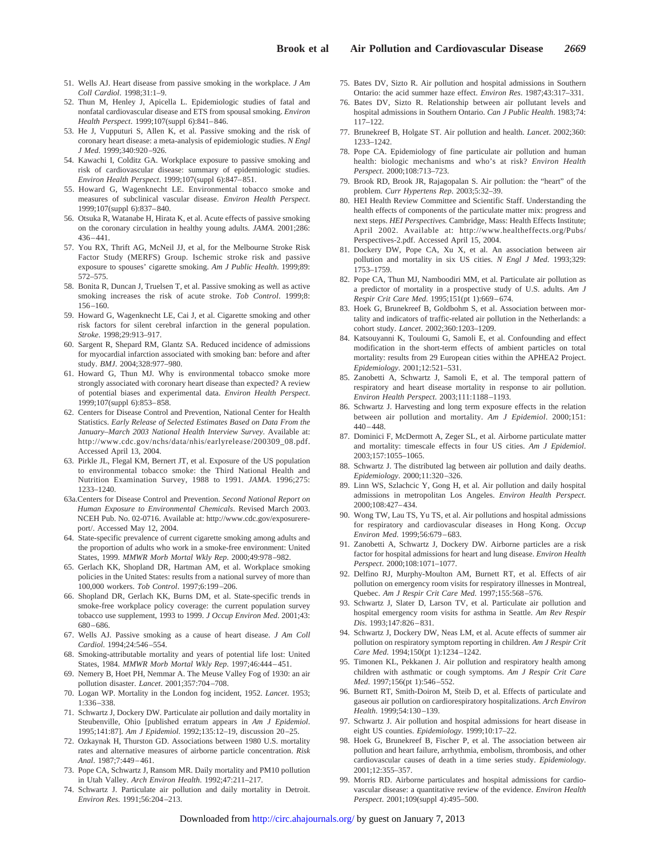- 51. Wells AJ. Heart disease from passive smoking in the workplace. *J Am Coll Cardiol*. 1998;31:1–9.
- 52. Thun M, Henley J, Apicella L. Epidemiologic studies of fatal and nonfatal cardiovascular disease and ETS from spousal smoking. *Environ Health Perspect*. 1999;107(suppl 6):841–846.
- 53. He J, Vupputuri S, Allen K, et al. Passive smoking and the risk of coronary heart disease: a meta-analysis of epidemiologic studies. *N Engl J Med*. 1999;340:920–926.
- 54. Kawachi I, Colditz GA. Workplace exposure to passive smoking and risk of cardiovascular disease: summary of epidemiologic studies. *Environ Health Perspect*. 1999;107(suppl 6):847–851.
- 55. Howard G, Wagenknecht LE. Environmental tobacco smoke and measures of subclinical vascular disease. *Environ Health Perspect*. 1999;107(suppl 6):837–840.
- 56. Otsuka R, Watanabe H, Hirata K, et al. Acute effects of passive smoking on the coronary circulation in healthy young adults. *JAMA*. 2001;286: 436–441.
- 57. You RX, Thrift AG, McNeil JJ, et al, for the Melbourne Stroke Risk Factor Study (MERFS) Group. Ischemic stroke risk and passive exposure to spouses' cigarette smoking. *Am J Public Health*. 1999;89: 572–575.
- 58. Bonita R, Duncan J, Truelsen T, et al. Passive smoking as well as active smoking increases the risk of acute stroke. *Tob Control*. 1999;8: 156–160.
- 59. Howard G, Wagenknecht LE, Cai J, et al. Cigarette smoking and other risk factors for silent cerebral infarction in the general population. *Stroke*. 1998;29:913–917.
- 60. Sargent R, Shepard RM, Glantz SA. Reduced incidence of admissions for myocardial infarction associated with smoking ban: before and after study. *BMJ*. 2004;328:977–980.
- 61. Howard G, Thun MJ. Why is environmental tobacco smoke more strongly associated with coronary heart disease than expected? A review of potential biases and experimental data. *Environ Health Perspect*. 1999;107(suppl 6):853–858.
- 62. Centers for Disease Control and Prevention, National Center for Health Statistics. *Early Release of Selected Estimates Based on Data From the January–March 2003 National Health Interview Survey*. Available at: http://www.cdc.gov/nchs/data/nhis/earlyrelease/200309\_08.pdf. Accessed April 13, 2004.
- 63. Pirkle JL, Flegal KM, Bernert JT, et al. Exposure of the US population to environmental tobacco smoke: the Third National Health and Nutrition Examination Survey, 1988 to 1991. *JAMA*. 1996;275: 1233–1240.
- 63a.Centers for Disease Control and Prevention. *Second National Report on Human Exposure to Environmental Chemicals*. Revised March 2003. NCEH Pub. No. 02-0716. Available at: http://www.cdc.gov/exposurereport/. Accessed May 12, 2004.
- 64. State-specific prevalence of current cigarette smoking among adults and the proportion of adults who work in a smoke-free environment: United States, 1999. *MMWR Morb Mortal Wkly Rep*. 2000;49:978–982.
- 65. Gerlach KK, Shopland DR, Hartman AM, et al. Workplace smoking policies in the United States: results from a national survey of more than 100,000 workers. *Tob Control*. 1997;6:199–206.
- 66. Shopland DR, Gerlach KK, Burns DM, et al. State-specific trends in smoke-free workplace policy coverage: the current population survey tobacco use supplement, 1993 to 1999. *J Occup Environ Med*. 2001;43: 680–686.
- 67. Wells AJ. Passive smoking as a cause of heart disease. *J Am Coll Cardiol*. 1994;24:546–554.
- 68. Smoking-attributable mortality and years of potential life lost: United States, 1984. *MMWR Morb Mortal Wkly Rep*. 1997;46:444–451.
- 69. Nemery B, Hoet PH, Nemmar A. The Meuse Valley Fog of 1930: an air pollution disaster. *Lancet*. 2001;357:704–708.
- 70. Logan WP. Mortality in the London fog incident, 1952. *Lancet*. 1953; 1:336–338.
- 71. Schwartz J, Dockery DW. Particulate air pollution and daily mortality in Steubenville, Ohio [published erratum appears in *Am J Epidemiol*. 1995;141:87]. *Am J Epidemiol*. 1992;135:12–19, discussion 20–25.
- 72. Ozkaynak H, Thurston GD. Associations between 1980 U.S. mortality rates and alternative measures of airborne particle concentration. *Risk Anal*. 1987;7:449–461.
- 73. Pope CA, Schwartz J, Ransom MR. Daily mortality and PM10 pollution in Utah Valley. *Arch Environ Health*. 1992;47:211–217.
- 74. Schwartz J. Particulate air pollution and daily mortality in Detroit. *Environ Res*. 1991;56:204–213.
- 75. Bates DV, Sizto R. Air pollution and hospital admissions in Southern Ontario: the acid summer haze effect. *Environ Res*. 1987;43:317–331.
- 76. Bates DV, Sizto R. Relationship between air pollutant levels and hospital admissions in Southern Ontario. *Can J Public Health*. 1983;74: 117–122.
- 77. Brunekreef B, Holgate ST. Air pollution and health. *Lancet*. 2002;360: 1233–1242.
- 78. Pope CA. Epidemiology of fine particulate air pollution and human health: biologic mechanisms and who's at risk? *Environ Health Perspect*. 2000;108:713–723.
- 79. Brook RD, Brook JR, Rajagopalan S. Air pollution: the "heart" of the problem. *Curr Hypertens Rep*. 2003;5:32–39.
- 80. HEI Health Review Committee and Scientific Staff. Understanding the health effects of components of the particulate matter mix: progress and next steps. *HEI Perspectives.* Cambridge, Mass: Health Effects Institute; April 2002. Available at: http://www.healtheffects.org/Pubs/ Perspectives-2.pdf. Accessed April 15, 2004.
- 81. Dockery DW, Pope CA, Xu X, et al. An association between air pollution and mortality in six US cities. *N Engl J Med*. 1993;329: 1753–1759.
- 82. Pope CA, Thun MJ, Namboodiri MM, et al. Particulate air pollution as a predictor of mortality in a prospective study of U.S. adults. *Am J Respir Crit Care Med*. 1995;151(pt 1):669–674.
- 83. Hoek G, Brunekreef B, Goldbohm S, et al. Association between mortality and indicators of traffic-related air pollution in the Netherlands: a cohort study. *Lancet*. 2002;360:1203–1209.
- 84. Katsouyanni K, Touloumi G, Samoli E, et al. Confounding and effect modification in the short-term effects of ambient particles on total mortality: results from 29 European cities within the APHEA2 Project. *Epidemiology*. 2001;12:521–531.
- 85. Zanobetti A, Schwartz J, Samoli E, et al. The temporal pattern of respiratory and heart disease mortality in response to air pollution. *Environ Health Perspect*. 2003;111:1188–1193.
- 86. Schwartz J. Harvesting and long term exposure effects in the relation between air pollution and mortality. *Am J Epidemiol*. 2000;151: 440–448.
- 87. Dominici F, McDermott A, Zeger SL, et al. Airborne particulate matter and mortality: timescale effects in four US cities. *Am J Epidemiol*. 2003;157:1055–1065.
- 88. Schwartz J. The distributed lag between air pollution and daily deaths. *Epidemiology*. 2000;11:320–326.
- 89. Linn WS, Szlachcic Y, Gong H, et al. Air pollution and daily hospital admissions in metropolitan Los Angeles. *Environ Health Perspect*. 2000;108:427–434.
- 90. Wong TW, Lau TS, Yu TS, et al. Air pollutions and hospital admissions for respiratory and cardiovascular diseases in Hong Kong. *Occup Environ Med*. 1999;56:679–683.
- 91. Zanobetti A, Schwartz J, Dockery DW. Airborne particles are a risk factor for hospital admissions for heart and lung disease. *Environ Health Perspect*. 2000;108:1071–1077.
- 92. Delfino RJ, Murphy-Moulton AM, Burnett RT, et al. Effects of air pollution on emergency room visits for respiratory illnesses in Montreal, Quebec. *Am J Respir Crit Care Med*. 1997;155:568–576.
- 93. Schwartz J, Slater D, Larson TV, et al. Particulate air pollution and hospital emergency room visits for asthma in Seattle. *Am Rev Respir Dis*. 1993;147:826–831.
- 94. Schwartz J, Dockery DW, Neas LM, et al. Acute effects of summer air pollution on respiratory symptom reporting in children. *Am J Respir Crit Care Med*. 1994;150(pt 1):1234–1242.
- 95. Timonen KL, Pekkanen J. Air pollution and respiratory health among children with asthmatic or cough symptoms. *Am J Respir Crit Care Med*. 1997;156(pt 1):546–552.
- 96. Burnett RT, Smith-Doiron M, Steib D, et al. Effects of particulate and gaseous air pollution on cardiorespiratory hospitalizations. *Arch Environ Health*. 1999;54:130–139.
- 97. Schwartz J. Air pollution and hospital admissions for heart disease in eight US counties. *Epidemiology*. 1999;10:17–22.
- 98. Hoek G, Brunekreef B, Fischer P, et al. The association between air pollution and heart failure, arrhythmia, embolism, thrombosis, and other cardiovascular causes of death in a time series study. *Epidemiology*. 2001;12:355–357.
- 99. Morris RD. Airborne particulates and hospital admissions for cardiovascular disease: a quantitative review of the evidence. *Environ Health Perspect*. 2001;109(suppl 4):495–500.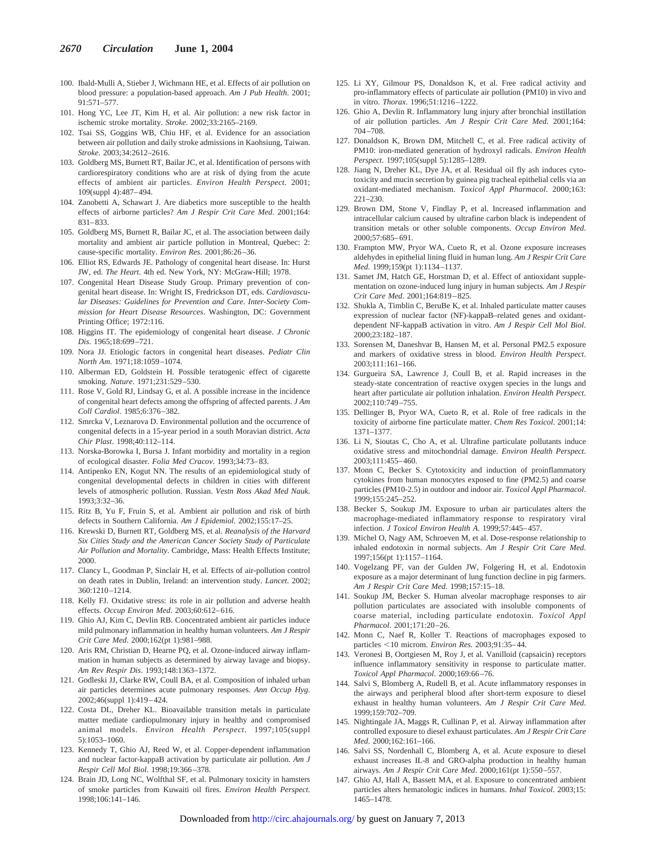- 100. Ibald-Mulli A, Stieber J, Wichmann HE, et al. Effects of air pollution on blood pressure: a population-based approach. *Am J Pub Health*. 2001; 91:571–577.
- 101. Hong YC, Lee JT, Kim H, et al. Air pollution: a new risk factor in ischemic stroke mortality. *Stroke*. 2002;33:2165–2169.
- 102. Tsai SS, Goggins WB, Chiu HF, et al. Evidence for an association between air pollution and daily stroke admissions in Kaohsiung, Taiwan. *Stroke*. 2003;34:2612–2616.
- 103. Goldberg MS, Burnett RT, Bailar JC, et al. Identification of persons with cardiorespiratory conditions who are at risk of dying from the acute effects of ambient air particles. *Environ Health Perspect*. 2001; 109(suppl 4):487–494.
- 104. Zanobetti A, Schawart J. Are diabetics more susceptible to the health effects of airborne particles? *Am J Respir Crit Care Med*. 2001;164: 831–833.
- 105. Goldberg MS, Burnett R, Bailar JC, et al. The association between daily mortality and ambient air particle pollution in Montreal, Quebec: 2: cause-specific mortality. *Environ Res*. 2001;86:26–36.
- 106. Elliot RS, Edwards JE. Pathology of congenital heart disease. In: Hurst JW, ed. *The Heart*. 4th ed. New York, NY: McGraw-Hill; 1978.
- 107. Congenital Heart Disease Study Group. Primary prevention of congenital heart disease. In: Wright IS, Fredrickson DT, eds. *Cardiovascular Diseases: Guidelines for Prevention and Care*. *Inter-Society Commission for Heart Disease Resources*. Washington, DC: Government Printing Office; 1972:116.
- 108. Higgins IT. The epidemiology of congenital heart disease. *J Chronic Dis*. 1965;18:699–721.
- 109. Nora JJ. Etiologic factors in congenital heart diseases. *Pediatr Clin North Am*. 1971;18:1059–1074.
- 110. Alberman ED, Goldstein H. Possible teratogenic effect of cigarette smoking. *Nature*. 1971;231:529–530.
- 111. Rose V, Gold RJ, Lindsay G, et al. A possible increase in the incidence of congenital heart defects among the offspring of affected parents. *J Am Coll Cardiol*. 1985;6:376–382.
- 112. Smrcka V, Leznarova D. Environmental pollution and the occurrence of congenital defects in a 15-year period in a south Moravian district. *Acta Chir Plast*. 1998;40:112–114.
- 113. Norska-Borowka I, Bursa J. Infant morbidity and mortality in a region of ecological disaster. *Folia Med Cracov*. 1993;34:73–83.
- 114. Antipenko EN, Kogut NN. The results of an epidemiological study of congenital developmental defects in children in cities with different levels of atmospheric pollution. Russian. *Vestn Ross Akad Med Nauk*. 1993;3:32–36.
- 115. Ritz B, Yu F, Fruin S, et al. Ambient air pollution and risk of birth defects in Southern California. *Am J Epidemiol*. 2002;155:17–25.
- 116. Krewski D, Burnett RT, Goldberg MS, et al. *Reanalysis of the Harvard Six Cities Study and the American Cancer Society Study of Particulate Air Pollution and Mortality*. Cambridge, Mass: Health Effects Institute; 2000.
- 117. Clancy L, Goodman P, Sinclair H, et al. Effects of air-pollution control on death rates in Dublin, Ireland: an intervention study. *Lancet*. 2002; 360:1210–1214.
- 118. Kelly FJ. Oxidative stress: its role in air pollution and adverse health effects. *Occup Environ Med*. 2003;60:612–616.
- 119. Ghio AJ, Kim C, Devlin RB. Concentrated ambient air particles induce mild pulmonary inflammation in healthy human volunteers. *Am J Respir Crit Care Med*. 2000;162(pt 1):981–988.
- 120. Aris RM, Christian D, Hearne PQ, et al. Ozone-induced airway inflammation in human subjects as determined by airway lavage and biopsy. *Am Rev Respir Dis*. 1993;148:1363–1372.
- 121. Godleski JJ, Clarke RW, Coull BA, et al. Composition of inhaled urban air particles determines acute pulmonary responses. *Ann Occup Hyg*. 2002;46(suppl 1):419–424.
- 122. Costa DL, Dreher KL. Bioavailable transition metals in particulate matter mediate cardiopulmonary injury in healthy and compromised animal models. *Environ Health Perspect*. 1997;105(suppl 5):1053–1060.
- 123. Kennedy T, Ghio AJ, Reed W, et al. Copper-dependent inflammation and nuclear factor-kappaB activation by particulate air pollution. *Am J Respir Cell Mol Biol*. 1998;19:366–378.
- 124. Brain JD, Long NC, Wolfthal SF, et al. Pulmonary toxicity in hamsters of smoke particles from Kuwaiti oil fires. *Environ Health Perspect*. 1998;106:141–146.
- 125. Li XY, Gilmour PS, Donaldson K, et al. Free radical activity and pro-inflammatory effects of particulate air pollution (PM10) in vivo and in vitro. *Thorax*. 1996;51:1216–1222.
- 126. Ghio A, Devlin R. Inflammatory lung injury after bronchial instillation of air pollution particles. *Am J Respir Crit Care Med*. 2001;164: 704–708.
- 127. Donaldson K, Brown DM, Mitchell C, et al. Free radical activity of PM10: iron-mediated generation of hydroxyl radicals. *Environ Health Perspect*. 1997;105(suppl 5):1285–1289.
- 128. Jiang N, Dreher KL, Dye JA, et al. Residual oil fly ash induces cytotoxicity and mucin secretion by guinea pig tracheal epithelial cells via an oxidant-mediated mechanism. *Toxicol Appl Pharmacol*. 2000;163: 221–230.
- 129. Brown DM, Stone V, Findlay P, et al. Increased inflammation and intracellular calcium caused by ultrafine carbon black is independent of transition metals or other soluble components. *Occup Environ Med*. 2000;57:685–691.
- 130. Frampton MW, Pryor WA, Cueto R, et al. Ozone exposure increases aldehydes in epithelial lining fluid in human lung. *Am J Respir Crit Care Med*. 1999;159(pt 1):1134–1137.
- 131. Samet JM, Hatch GE, Horstman D, et al. Effect of antioxidant supplementation on ozone-induced lung injury in human subjects. *Am J Respir Crit Care Med*. 2001;164:819–825.
- 132. Shukla A, Timblin C, BeruBe K, et al. Inhaled particulate matter causes expression of nuclear factor (NF)-kappaB–related genes and oxidantdependent NF-kappaB activation in vitro. *Am J Respir Cell Mol Biol*. 2000;23:182–187.
- 133. Sorensen M, Daneshvar B, Hansen M, et al. Personal PM2.5 exposure and markers of oxidative stress in blood. *Environ Health Perspect*. 2003;111:161–166.
- 134. Gurgueira SA, Lawrence J, Coull B, et al. Rapid increases in the steady-state concentration of reactive oxygen species in the lungs and heart after particulate air pollution inhalation. *Environ Health Perspect*. 2002;110:749–755.
- 135. Dellinger B, Pryor WA, Cueto R, et al. Role of free radicals in the toxicity of airborne fine particulate matter. *Chem Res Toxicol*. 2001;14: 1371–1377.
- 136. Li N, Sioutas C, Cho A, et al. Ultrafine particulate pollutants induce oxidative stress and mitochondrial damage. *Environ Health Perspect*. 2003;111:455–460.
- 137. Monn C, Becker S. Cytotoxicity and induction of proinflammatory cytokines from human monocytes exposed to fine (PM2.5) and coarse particles (PM10-2.5) in outdoor and indoor air. *Toxicol Appl Pharmacol*. 1999;155:245–252.
- 138. Becker S, Soukup JM. Exposure to urban air particulates alters the macrophage-mediated inflammatory response to respiratory viral infection. *J Toxicol Environ Health A*. 1999;57:445–457.
- 139. Michel O, Nagy AM, Schroeven M, et al. Dose-response relationship to inhaled endotoxin in normal subjects. *Am J Respir Crit Care Med*. 1997;156(pt 1):1157–1164.
- 140. Vogelzang PF, van der Gulden JW, Folgering H, et al. Endotoxin exposure as a major determinant of lung function decline in pig farmers. *Am J Respir Crit Care Med*. 1998;157:15–18.
- 141. Soukup JM, Becker S. Human alveolar macrophage responses to air pollution particulates are associated with insoluble components of coarse material, including particulate endotoxin. *Toxicol Appl Pharmacol*. 2001;171:20–26.
- 142. Monn C, Naef R, Koller T. Reactions of macrophages exposed to particles 10 microm. *Environ Res*. 2003;91:35–44.
- 143. Veronesi B, Oortgiesen M, Roy J, et al. Vanilloid (capsaicin) receptors influence inflammatory sensitivity in response to particulate matter. *Toxicol Appl Pharmacol*. 2000;169:66–76.
- 144. Salvi S, Blomberg A, Rudell B, et al. Acute inflammatory responses in the airways and peripheral blood after short-term exposure to diesel exhaust in healthy human volunteers. *Am J Respir Crit Care Med*. 1999;159:702–709.
- 145. Nightingale JA, Maggs R, Cullinan P, et al. Airway inflammation after controlled exposure to diesel exhaust particulates. *Am J Respir Crit Care Med*. 2000;162:161–166.
- 146. Salvi SS, Nordenhall C, Blomberg A, et al. Acute exposure to diesel exhaust increases IL-8 and GRO-alpha production in healthy human airways. *Am J Respir Crit Care Med*. 2000;161(pt 1):550–557.
- 147. Ghio AJ, Hall A, Bassett MA, et al. Exposure to concentrated ambient particles alters hematologic indices in humans. *Inhal Toxicol*. 2003;15: 1465–1478.